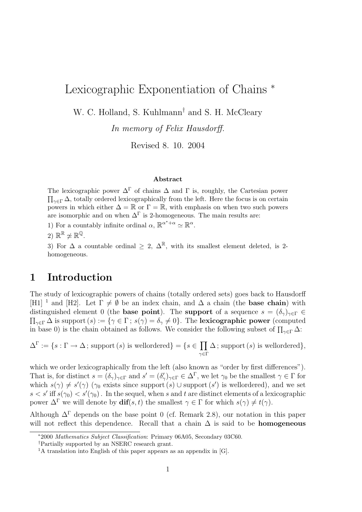# Lexicographic Exponentiation of Chains <sup>∗</sup>

W. C. Holland, S. Kuhlmann<sup>†</sup> and S. H. McCleary

In memory of Felix Hausdorff.

Revised 8. 10. 2004

#### Abstract

The lexicographic power  $\Delta^{\Gamma}$  of chains  $\Delta$  and  $\Gamma$  is, roughly, the Cartesian power The reacting power  $\Delta$  or enamely and T is, roughly, the cartesian power  $\prod_{\gamma \in \Gamma} \Delta$ , totally ordered lexicographically from the left. Here the focus is on certain powers in which either  $\Delta = \mathbb{R}$  or  $\Gamma = \mathbb{R}$ , with emphasis on when two such powers are isomorphic and on when  $\Delta^{\Gamma}$  is 2-homogeneous. The main results are:

1) For a countably infinite ordinal  $\alpha$ ,  $\mathbb{R}^{\alpha^*+\alpha} \simeq \mathbb{R}^{\alpha}$ .

2)  $\mathbb{R}^{\mathbb{R}} \not\simeq \mathbb{R}^{\mathbb{Q}}$ .

3) For  $\Delta$  a countable ordinal  $> 2$ ,  $\Delta^{\mathbb{R}}$ , with its smallest element deleted, is 2homogeneous.

## 1 Introduction

The study of lexicographic powers of chains (totally ordered sets) goes back to Hausdorff [H1] <sup>1</sup> and [H2]. Let  $\Gamma \neq \emptyset$  be an index chain, and  $\Delta$  a chain (the **base chain**) with distinguished element 0 (the **base point**). The **support** of a sequence  $s = (\delta_{\gamma})_{\gamma \in \Gamma} \in$  $\Pi_{\gamma \in \Gamma} \Delta$  is support (s) := { $\gamma \in \Gamma$ ;  $s(\gamma) = \delta_{\gamma} \neq 0$ }. The **lexicographic power** (computed  $i_1 \gamma \in \Gamma$  is supposed by  $i = \{ \gamma \in \Gamma, s(\gamma) = \gamma \neq 0 \}$ . The consider the following subset of  $\prod_{\gamma \in \Gamma} \Delta$ :

 $\Delta^{\Gamma} := \{s : \Gamma \to \Delta \, ; \, \text{support}(s) \text{ is wellordered}\} = \{s \in$  $\overline{y}$  $γ ∈ Γ$  $\Delta$ ; support  $(s)$  is wellordered},

which we order lexicographically from the left (also known as "order by first differences"). That is, for distinct  $s = (\delta_\gamma)_{\gamma \in \Gamma}$  and  $s' = (\delta'_\gamma)_{\gamma \in \Gamma} \in \Delta^{\Gamma}$ , we let  $\gamma_0$  be the smallest  $\gamma \in \Gamma$  for which  $s(\gamma) \neq s'(\gamma)$  ( $\gamma_0$  exists since support  $(s)$ ) usupport  $(s')$  is wellordered), and we set  $s < s'$  iff  $s(\gamma_0) < s'(\gamma_0)$ . In the sequel, when s and t are distinct elements of a lexicographic power  $\Delta^{\Gamma}$  we will denote by  $\textbf{dif}(s,t)$  the smallest  $\gamma \in \Gamma$  for which  $s(\gamma) \neq t(\gamma)$ .

Although  $\Delta^{\Gamma}$  depends on the base point 0 (cf. Remark 2.8), our notation in this paper will not reflect this dependence. Recall that a chain  $\Delta$  is said to be **homogeneous** 

<sup>∗</sup>2000 Mathematics Subject Classification: Primary 06A05, Secondary 03C60.

<sup>†</sup>Partially supported by an NSERC research grant.

<sup>&</sup>lt;sup>1</sup>A translation into English of this paper appears as an appendix in [G].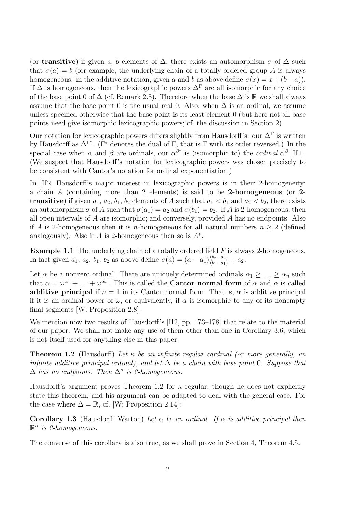(or **transitive**) if given a, b elements of  $\Delta$ , there exists an automorphism  $\sigma$  of  $\Delta$  such that  $\sigma(a) = b$  (for example, the underlying chain of a totally ordered group A is always homogeneous: in the additive notation, given a and b as above define  $\sigma(x) = x + (b - a)$ . If  $\Delta$  is homogeneous, then the lexicographic powers  $\Delta^{\Gamma}$  are all isomorphic for any choice of the base point 0 of  $\Delta$  (cf. Remark 2.8). Therefore when the base  $\Delta$  is R we shall always assume that the base point 0 is the usual real 0. Also, when  $\Delta$  is an ordinal, we assume unless specified otherwise that the base point is its least element 0 (but here not all base points need give isomorphic lexicographic powers; cf. the discussion in Section 2).

Our notation for lexicographic powers differs slightly from Hausdorff's: our  $\Delta^{\Gamma}$  is written by Hausdorff as  $\Delta^{\Gamma^*}$ . ( $\Gamma^*$  denotes the dual of  $\Gamma$ , that is  $\Gamma$  with its order reversed.) In the special case when  $\alpha$  and  $\beta$  are ordinals, our  $\alpha^{\beta^*}$  is (isomorphic to) the *ordinal*  $\alpha^{\beta}$  [H1]. (We suspect that Hausdorff's notation for lexicographic powers was chosen precisely to be consistent with Cantor's notation for ordinal exponentiation.)

In [H2] Hausdorff's major interest in lexicographic powers is in their 2-homogeneity: a chain A (containing more than 2 elements) is said to be 2-homogeneous (or 2 **transitive**) if given  $a_1, a_2, b_1, b_2$  elements of A such that  $a_1 < b_1$  and  $a_2 < b_2$ , there exists an automorphism  $\sigma$  of A such that  $\sigma(a_1) = a_2$  and  $\sigma(b_1) = b_2$ . If A is 2-homogeneous, then all open intervals of A are isomorphic; and conversely, provided A has no endpoints. Also if A is 2-homogeneous then it is *n*-homogeneous for all natural numbers  $n \geq 2$  (defined analogously). Also if  $A$  is 2-homogeneous then so is  $A^*$ .

**Example 1.1** The underlying chain of a totally ordered field  $F$  is always 2-homogeneous. In fact given  $a_1, a_2, b_1, b_2$  as above define  $\sigma(a) = (a - a_1) \frac{(b_2 - a_2)}{(b_1 - a_1)} + a_2$ .

Let  $\alpha$  be a nonzero ordinal. There are uniquely determined ordinals  $\alpha_1 \geq \ldots \geq \alpha_n$  such that  $\alpha = \omega^{\alpha_1} + \ldots + \omega^{\alpha_n}$ . This is called the **Cantor normal form** of  $\alpha$  and  $\alpha$  is called additive principal if  $n = 1$  in its Cantor normal form. That is,  $\alpha$  is additive principal if it is an ordinal power of  $\omega$ , or equivalently, if  $\alpha$  is isomorphic to any of its nonempty final segments [W; Proposition 2.8].

We mention now two results of Hausdorff's [H2, pp. 173–178] that relate to the material of our paper. We shall not make any use of them other than one in Corollary 3.6, which is not itself used for anything else in this paper.

**Theorem 1.2** (Hausdorff) Let  $\kappa$  be an infinite regular cardinal (or more generally, an infinite additive principal ordinal), and let  $\Delta$  be a chain with base point 0. Suppose that  $\Delta$  has no endpoints. Then  $\Delta^{\kappa}$  is 2-homogeneous.

Hausdorff's argument proves Theorem 1.2 for  $\kappa$  regular, though he does not explicitly state this theorem; and his argument can be adapted to deal with the general case. For the case where  $\Delta = \mathbb{R}$ , cf. [W; Proposition 2.14]:

**Corollary 1.3** (Hausdorff, Warton) Let  $\alpha$  be an ordinal. If  $\alpha$  is additive principal then  $\mathbb{R}^{\alpha}$  is 2-homogeneous.

The converse of this corollary is also true, as we shall prove in Section 4, Theorem 4.5.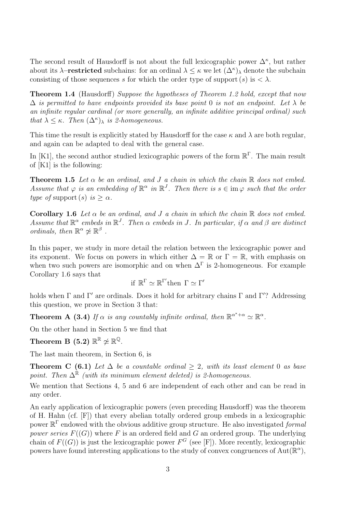The second result of Hausdorff is not about the full lexicographic power  $\Delta^{\kappa}$ , but rather about its  $\lambda$ –**restricted** subchains: for an ordinal  $\lambda \leq \kappa$  we let  $(\Delta^{\kappa})_{\lambda}$  denote the subchain consisting of those sequences s for which the order type of support  $(s)$  is  $\langle \lambda \rangle$ .

**Theorem 1.4** (Hausdorff) Suppose the hypotheses of Theorem 1.2 hold, except that now  $\Delta$  is permitted to have endpoints provided its base point 0 is not an endpoint. Let  $\lambda$  be an infinite regular cardinal (or more generally, an infinite additive principal ordinal) such that  $\lambda \leq \kappa$ . Then  $(\Delta^{\kappa})_{\lambda}$  is 2-homogeneous.

This time the result is explicitly stated by Hausdorff for the case  $\kappa$  and  $\lambda$  are both regular, and again can be adapted to deal with the general case.

In [K1], the second author studied lexicographic powers of the form  $\mathbb{R}^{\Gamma}$ . The main result of [K1] is the following:

**Theorem 1.5** Let  $\alpha$  be an ordinal, and J a chain in which the chain  $\mathbb R$  does not embed. Assume that  $\varphi$  is an embedding of  $\mathbb{R}^{\alpha}$  in  $\mathbb{R}^{J}$ . Then there is  $s \in \text{im } \varphi$  such that the order type of support (s) is  $\geq \alpha$ .

Corollary 1.6 Let  $\alpha$  be an ordinal, and J a chain in which the chain  $\mathbb R$  does not embed. Assume that  $\mathbb{R}^{\alpha}$  embeds in  $\mathbb{R}^{J}$ . Then  $\alpha$  embeds in J. In particular, if  $\alpha$  and  $\beta$  are distinct ordinals, then  $\mathbb{R}^{\alpha} \not\simeq \mathbb{R}^{\beta}$ .

In this paper, we study in more detail the relation between the lexicographic power and its exponent. We focus on powers in which either  $\Delta = \mathbb{R}$  or  $\Gamma = \mathbb{R}$ , with emphasis on when two such powers are isomorphic and on when  $\Delta^{\Gamma}$  is 2-homogeneous. For example Corollary 1.6 says that

$$
\mathrm{if}\ \mathbb{R}^{\Gamma} \simeq \mathbb{R}^{\Gamma'}\mathrm{then}\ \Gamma \simeq \Gamma'
$$

holds when  $\Gamma$  and  $\Gamma'$  are ordinals. Does it hold for arbitrary chains  $\Gamma$  and  $\Gamma'$ ? Addressing this question, we prove in Section 3 that:

**Theorem A** (3.4) If  $\alpha$  is any countably infinite ordinal, then  $\mathbb{R}^{\alpha^*+\alpha} \simeq \mathbb{R}^{\alpha}$ .

On the other hand in Section 5 we find that

Theorem B (5.2)  $\mathbb{R}^{\mathbb{R}}\not\simeq\mathbb{R}^{\mathbb{Q}}.$ 

The last main theorem, in Section 6, is

Theorem C (6.1) Let  $\Delta$  be a countable ordinal  $\geq$  2, with its least element 0 as base point. Then  $\Delta^{\mathbb{R}}$  (with its minimum element deleted) is 2-homogeneous.

We mention that Sections 4, 5 and 6 are independent of each other and can be read in any order.

An early application of lexicographic powers (even preceding Hausdorff) was the theorem of H. Hahn (cf. [F]) that every abelian totally ordered group embeds in a lexicographic power  $\mathbb{R}^{\Gamma}$  endowed with the obvious additive group structure. He also investigated *formal* power series  $F((G))$  where F is an ordered field and G an ordered group. The underlying chain of  $F((G))$  is just the lexicographic power  $F^G$  (see [F]). More recently, lexicographic powers have found interesting applications to the study of convex congruences of  $Aut(\mathbb{R}^{\alpha})$ ,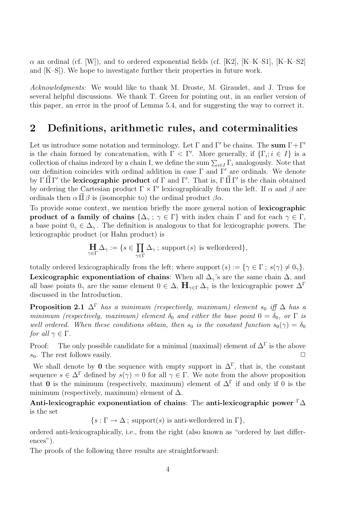$\alpha$  an ordinal (cf. [W]), and to ordered exponential fields (cf. [K2], [K–K–S1], [K–K–S2] and [K–S]). We hope to investigate further their properties in future work.

Acknowledgments: We would like to thank M. Droste, M. Giraudet, and J. Truss for several helpful discussions. We thank T. Green for pointing out, in an earlier version of this paper, an error in the proof of Lemma 5.4, and for suggesting the way to correct it.

### 2 Definitions, arithmetic rules, and coterminalities

Let us introduce some notation and terminology. Let  $\Gamma$  and  $\Gamma'$  be chains. The sum  $\Gamma + \Gamma'$ is the chain formed by concatenation, with  $\Gamma < \Gamma'$ . More generally, if  $\{\Gamma_i : i \in I\}$  is a collection of chains indexed by a chain I, we define the sum  $\sum_{i\in I}\Gamma_i$  analogously. Note that our definition coincides with ordinal addition in case  $\Gamma$  and  $\Gamma'$  are ordinals. We denote by  $\Gamma \vec{\amalg} \Gamma'$  the lexicographic product of  $\Gamma$  and  $\Gamma'$ . That is,  $\Gamma \vec{\amalg} \Gamma'$  is the chain obtained by ordering the Cartesian product  $\Gamma \times \Gamma'$  lexicographically from the left. If  $\alpha$  and  $\beta$  are ordinals then  $\alpha \amalg \beta$  is (isomorphic to) the ordinal product  $\beta \alpha$ .

To provide some context, we mention briefly the more general notion of lexicographic product of a family of chains  $\{\Delta_{\gamma}; \gamma \in \Gamma\}$  with index chain  $\Gamma$  and for each  $\gamma \in \Gamma$ , a base point  $0_{\gamma} \in \Delta_{\gamma}$ . The definition is analogous to that for lexicographic powers. The lexicographic product (or Hahn product) is

$$
\underset{\gamma \in \Gamma}{\coprod} \Delta_{\gamma} := \{ s \in \prod_{\gamma \in \Gamma} \Delta_{\gamma} \ ; \ \text{support}(s) \ \text{is wellordered} \},
$$

totally ordered lexicographically from the left; where support  $(s) := \{ \gamma \in \Gamma : s(\gamma) \neq 0_\gamma \}.$ Lexicographic exponentiation of chains: When all  $\Delta_{\gamma}$ 's are the same chain  $\Delta$ , and all base points  $0_\gamma$  are the same element  $0 \in \Delta$ ,  $\mathbf{H}_{\gamma \in \Gamma} \Delta_\gamma$  is the lexicographic power  $\Delta^{\Gamma}$ discussed in the Introduction.

**Proposition 2.1**  $\Delta^{\Gamma}$  has a minimum (respectively, maximum) element s<sub>0</sub> iff  $\Delta$  has a minimum (respectively, maximum) element  $\delta_0$  and either the base point  $0 = \delta_0$ , or  $\Gamma$  is well ordered. When these conditions obtain, then  $s_0$  is the constant function  $s_0(\gamma) = \delta_0$ for all  $\gamma \in \Gamma$ .

Proof: The only possible candidate for a minimal (maximal) element of  $\Delta^{\Gamma}$  is the above  $s_0$ . The rest follows easily.  $\Box$ 

We shall denote by 0 the sequence with empty support in  $\Delta^{\Gamma}$ , that is, the constant sequence  $s \in \Delta^{\Gamma}$  defined by  $s(\gamma) = 0$  for all  $\gamma \in \Gamma$ . We note from the above proposition that 0 is the minimum (respectively, maximum) element of  $\Delta^{\Gamma}$  if and only if 0 is the minimum (respectively, maximum) element of  $\Delta$ .

Anti-lexicographic exponentiation of chains: The anti-lexicographic power  $\Gamma\Delta$ is the set

 $\{s : \Gamma \to \Delta \; ; \; \text{support}(s) \text{ is anti-wellordered in } \Gamma \}.$ 

ordered anti-lexicographically, i.e., from the right (also known as "ordered by last differences").

The proofs of the following three results are straightforward: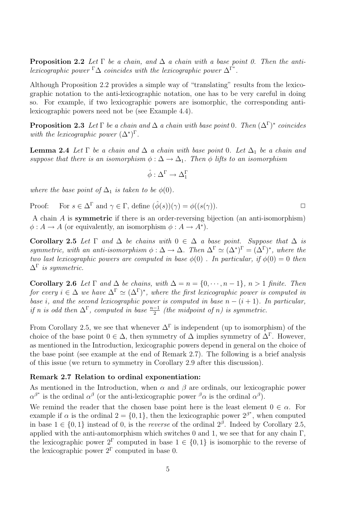**Proposition 2.2** Let  $\Gamma$  be a chain, and  $\Delta$  a chain with a base point 0. Then the antilexicographic power  $\Gamma \Delta$  coincides with the lexicographic power  $\Delta^{\Gamma^*}$ .

Although Proposition 2.2 provides a simple way of "translating" results from the lexicographic notation to the anti-lexicographic notation, one has to be very careful in doing so. For example, if two lexicographic powers are isomorphic, the corresponding antilexicographic powers need not be (see Example 4.4).

**Proposition 2.3** Let  $\Gamma$  be a chain and  $\Delta$  a chain with base point 0. Then  $(\Delta^{\Gamma})^*$  coincides with the lexicographic power  $(\Delta^*)^{\Gamma}$ .

**Lemma 2.4** Let  $\Gamma$  be a chain and  $\Delta$  a chain with base point 0. Let  $\Delta_1$  be a chain and suppose that there is an isomorphism  $\phi : \Delta \to \Delta_1$ . Then  $\phi$  lifts to an isomorphism

$$
\hat{\phi}:\Delta^\Gamma\to \Delta_1^\Gamma
$$

where the base point of  $\Delta_1$  is taken to be  $\phi(0)$ .

Proof: For 
$$
s \in \Delta^{\Gamma}
$$
 and  $\gamma \in \Gamma$ , define  $(\hat{\phi}(s))(\gamma) = \phi((s(\gamma))).$ 

A chain A is symmetric if there is an order-reversing bijection (an anti-isomorphism)  $\phi: A \to A$  (or equivalently, an isomorphism  $\phi: A \to A^*$ ).

Corollary 2.5 Let  $\Gamma$  and  $\Delta$  be chains with  $0 \in \Delta$  a base point. Suppose that  $\Delta$  is symmetric, with an anti-isomorphism  $\phi : \Delta \to \Delta$ . Then  $\Delta^{\Gamma} \simeq (\Delta^*)^{\Gamma} = (\Delta^{\Gamma})^*$ , where the two last lexicographic powers are computed in base  $\phi(0)$ . In particular, if  $\phi(0) = 0$  then  $\Delta^{\Gamma}$  is symmetric.

Corollary 2.6 Let  $\Gamma$  and  $\Delta$  be chains, with  $\Delta = n = \{0, \dots, n-1\}$ ,  $n > 1$  finite. Then for every  $i \in \Delta$  we have  $\Delta^{\Gamma} \simeq (\Delta^{\Gamma})^*$ , where the first lexicographic power is computed in base i, and the second lexicographic power is computed in base  $n - (i + 1)$ . In particular, if n is odd then  $\Delta^{\Gamma}$ , computed in base  $\frac{n-1}{2}$  (the midpoint of n) is symmetric.

From Corollary 2.5, we see that whenever  $\Delta^{\Gamma}$  is independent (up to isomorphism) of the choice of the base point  $0 \in \Delta$ , then symmetry of  $\Delta$  implies symmetry of  $\Delta^{\Gamma}$ . However, as mentioned in the Introduction, lexicographic powers depend in general on the choice of the base point (see example at the end of Remark 2.7). The following is a brief analysis of this issue (we return to symmetry in Corollary 2.9 after this discussion).

#### Remark 2.7 Relation to ordinal exponentiation:

As mentioned in the Introduction, when  $\alpha$  and  $\beta$  are ordinals, our lexicographic power  $\alpha^{\beta^*}$  is the ordinal  $\alpha^{\beta}$  (or the anti-lexicographic power  $^{\beta}\alpha$  is the ordinal  $\alpha^{\beta}$ ).

We remind the reader that the chosen base point here is the least element  $0 \in \alpha$ . For example if  $\alpha$  is the ordinal  $2 = \{0, 1\}$ , then the lexicographic power  $2^{\beta^*}$ , when computed in base  $1 \in \{0, 1\}$  instead of 0, is the *reverse* of the ordinal  $2^{\beta}$ . Indeed by Corollary 2.5, applied with the anti-automorphism which switches 0 and 1, we see that for any chain  $\Gamma$ , the lexicographic power  $2^{\Gamma}$  computed in base  $1 \in \{0,1\}$  is isomorphic to the reverse of the lexicographic power  $2^{\Gamma}$  computed in base 0.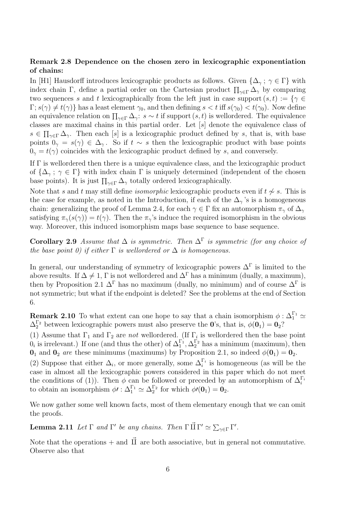#### Remark 2.8 Dependence on the chosen zero in lexicographic exponentiation of chains:

In [H1] Hausdorff introduces lexicographic products as follows. Given  $\{\Delta_{\gamma}; \gamma \in \Gamma\}$  with index chain Γ, define a partial order on the Cartesian product  $\prod_{\gamma \in \Gamma} \Delta_{\gamma}$  by comparing two sequences s and t lexicographically from the left just in case support  $(s, t) := \{ \gamma \in$  $\Gamma$ ;  $s(\gamma) \neq t(\gamma)$  has a least element  $\gamma_0$ , and then defining  $s < t$  iff  $s(\gamma_0) < t(\gamma_0)$ . Now define an equivalence relation on  $\prod_{\gamma \in \Gamma} \Delta_{\gamma}$ :  $s \sim t$  if support  $(s, t)$  is wellordered. The equivalence classes are maximal chains in this partial order. Let [s] denote the equivalence class of Q  $s \in \prod_{\gamma \in \Gamma} \Delta_{\gamma}$ . Then each [s] is a lexicographic product defined by s, that is, with base points  $0<sub>γ</sub> = s(γ) \in \Delta_γ$ . So if  $t \sim s$  then the lexicographic product with base points  $0<sub>\gamma</sub> = t(\gamma)$  coincides with the lexicographic product defined by s, and conversely.

If Γ is wellordered then there is a unique equivalence class, and the lexicographic product of  $\{\Delta_{\gamma}; \gamma \in \Gamma\}$  with index chain  $\Gamma$  is uniquely determined (independent of the chosen base points). It is just  $\prod_{\gamma \in \Gamma} \Delta_{\gamma}$  totally ordered lexicographically.

Note that s and t may still define *isomorphic* lexicographic products even if  $t \nsim s$ . This is the case for example, as noted in the Introduction, if each of the  $\Delta_{\gamma}$ 's is a homogeneous chain: generalizing the proof of Lemma 2.4, for each  $\gamma \in \Gamma$  fix an automorphism  $\pi_{\gamma}$  of  $\Delta_{\gamma}$ satisfying  $\pi_{\gamma}(s(\gamma)) = t(\gamma)$ . Then the  $\pi_{\gamma}$ 's induce the required isomorphism in the obvious way. Moreover, this induced isomorphism maps base sequence to base sequence.

**Corollary 2.9** Assume that  $\Delta$  is symmetric. Then  $\Delta^{\Gamma}$  is symmetric (for any choice of the base point 0) if either  $\Gamma$  is wellordered or  $\Delta$  is homogeneous.

In general, our understanding of symmetry of lexicographic powers  $\Delta^{\Gamma}$  is limited to the above results. If  $\Delta \neq 1$ , Γ is not wellordered and  $\Delta^{\Gamma}$  has a minimum (dually, a maximum), then by Proposition 2.1  $\Delta^{\Gamma}$  has no maximum (dually, no minimum) and of course  $\Delta^{\Gamma}$  is not symmetric; but what if the endpoint is deleted? See the problems at the end of Section 6.

**Remark 2.10** To what extent can one hope to say that a chain isomorphism  $\phi : \Delta_1^{\Gamma_1} \simeq$  $\Delta_2^{\Gamma_2}$  between lexicographic powers must also preserve the 0's, that is,  $\phi(\mathbf{0}_1) = \mathbf{0}_2$ ?

(1) Assume that  $\Gamma_1$  and  $\Gamma_2$  are *not* wellordered. (If  $\Gamma_i$  is wellordered then the base point  $0_i$  is irrelevant.) If one (and thus the other) of  $\Delta_1^{\Gamma_1}, \Delta_2^{\Gamma_2}$  has a minimum (maximum), then  $\mathbf{0}_1$  and  $\mathbf{0}_2$  are these minimums (maximums) by Proposition 2.1, so indeed  $\phi(\mathbf{0}_1) = \mathbf{0}_2$ .

(2) Suppose that either  $\Delta_i$ , or more generally, some  $\Delta_i^{\Gamma_i}$  is homogeneous (as will be the case in almost all the lexicographic powers considered in this paper which do not meet the conditions of (1)). Then  $\phi$  can be followed or preceded by an automorphism of  $\Delta_i^{\Gamma_i}$ to obtain an isomorphism  $\phi' : \Delta_1^{\Gamma_1} \simeq \Delta_2^{\Gamma_2}$  for which  $\phi'(0_1) = 0_2$ .

We now gather some well known facts, most of them elementary enough that we can omit the proofs.

**Lemma 2.11** Let  $\Gamma$  and  $\Gamma'$  be any chains. Then  $\Gamma \vec{\Pi} \Gamma' \simeq \sum_{\gamma \in \Gamma} \Gamma'$ .

Note that the operations + and  $\vec{\mathbf{I}}$  are both associative, but in general not commutative. Observe also that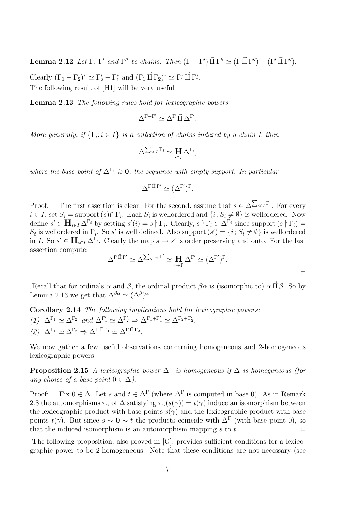**Lemma 2.12** Let  $\Gamma$ ,  $\Gamma'$  and  $\Gamma''$  be chains. Then  $(\Gamma + \Gamma')$   $\vec{\Pi} \Gamma'' \simeq (\Gamma \vec{\Pi} \Gamma'') + (\Gamma' \vec{\Pi} \Gamma'')$ .

Clearly  $(\Gamma_1 + \Gamma_2)^* \simeq \Gamma_2^* + \Gamma_1^*$  and  $(\Gamma_1 \vec{\Pi} \Gamma_2)^* \simeq \Gamma_1^* \vec{\Pi} \Gamma_2^*$ . The following result of [H1] will be very useful

Lemma 2.13 The following rules hold for lexicographic powers:

$$
\Delta^{\Gamma+\Gamma'}\simeq \Delta^\Gamma\,\vec\Pi\,\Delta^{\Gamma'}.
$$

More generally, if  $\{\Gamma_i; i \in I\}$  is a collection of chains indexed by a chain I, then

$$
\Delta^{\sum_{i\in I}\Gamma_i}\simeq \prod_{i\in I}\Delta^{\Gamma_i},
$$

where the base point of  $\Delta^{\Gamma_i}$  is 0, the sequence with empty support. In particular

$$
\Delta^{\Gamma \, \vec{\amalg} \, \Gamma'} \simeq (\Delta^{\Gamma'})^{\Gamma}.
$$

Proof: The first assertion is clear. For the second, assume that  $s \in \Delta$  $\overline{ }$  $i∈I$ <sup>Γ<sub>i</sub></sup>. For every  $i \in I$ , set  $S_i = \text{support}(s) \cap \Gamma_i$ . Each  $S_i$  is wellordered and  $\{i; S_i \neq \emptyset\}$  is wellordered. Now define  $s' \in \mathbf{H}_{i \in I} \Delta^{\Gamma_i}$  by setting  $s'(i) = s \upharpoonright \Gamma_i$ . Clearly,  $s \upharpoonright \Gamma_i \in \Delta^{\Gamma_i}$  since support  $(s \upharpoonright \Gamma_i) =$  $S_i$  is wellordered in  $\Gamma_i$ . So s' is well defined. Also support  $(s') = \{i; S_i \neq \emptyset\}$  is wellordered in I. So  $s' \in \mathbf{H}_{i \in I} \Delta^{\Gamma_i}$ . Clearly the map  $s \mapsto s'$  is order preserving and onto. For the last assertion compute:  $\overline{ }$ 

$$
\Delta^{\Gamma \, \vec{\Pi} \, \Gamma'} \simeq \Delta^{\sum_{\gamma \in \Gamma} \Gamma'} \simeq \mathbf{H} \Delta^{\Gamma'} \simeq (\Delta^{\Gamma'})^{\Gamma}.
$$

 $\Box$ 

Recall that for ordinals  $\alpha$  and  $\beta$ , the ordinal product  $\beta \alpha$  is (isomorphic to)  $\alpha \vec{\Pi} \beta$ . So by Lemma 2.13 we get that  $\Delta^{\beta\alpha} \simeq (\Delta^{\beta})^{\alpha}$ .

- Corollary 2.14 The following implications hold for lexicographic powers: (1)  $\Delta^{\Gamma_1} \simeq \Delta^{\Gamma_2}$  and  $\Delta^{\Gamma'_1} \simeq \Delta^{\Gamma'_2} \Rightarrow \Delta^{\Gamma_1 + \Gamma'_1} \simeq \Delta^{\Gamma_2 + \Gamma'_2}$ .
- (2)  $\Delta^{\Gamma_1} \simeq \Delta^{\Gamma_2} \Rightarrow \Delta^{\Gamma \vec{\Pi} \Gamma_1} \simeq \Delta^{\Gamma \vec{\Pi} \Gamma_2}.$

We now gather a few useful observations concerning homogeneous and 2-homogeneous lexicographic powers.

**Proposition 2.15** A lexicographic power  $\Delta^{\Gamma}$  is homogeneous if  $\Delta$  is homogeneous (for any choice of a base point  $0 \in \Delta$ ).

Proof: Fix  $0 \in \Delta$ . Let s and  $t \in \Delta^{\Gamma}$  (where  $\Delta^{\Gamma}$  is computed in base 0). As in Remark 2.8 the automorphisms  $\pi_{\gamma}$  of  $\Delta$  satisfying  $\pi_{\gamma}(s(\gamma)) = t(\gamma)$  induce an isomorphism between the lexicographic product with base points  $s(\gamma)$  and the lexicographic product with base points  $t(\gamma)$ . But since  $s \sim 0 \sim t$  the products coincide with  $\Delta^{\Gamma}$  (with base point 0), so that the induced isomorphism is an automorphism mapping s to t.  $\square$ 

The following proposition, also proved in [G], provides sufficient conditions for a lexicographic power to be 2-homogeneous. Note that these conditions are not necessary (see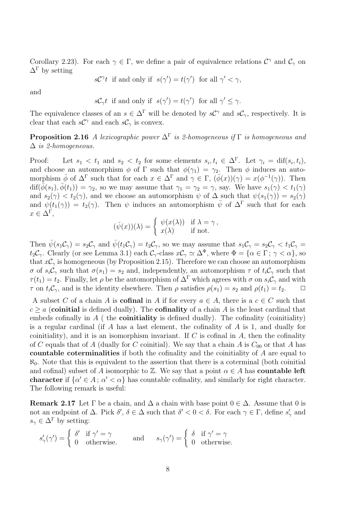Corollary 2.23). For each  $\gamma \in \Gamma$ , we define a pair of equivalence relations  $\mathcal{C}^{\gamma}$  and  $\mathcal{C}_{\gamma}$  on  $\Delta^{\Gamma}$  by setting

$$
s\mathcal{C}^{\gamma}t
$$
 if and only if  $s(\gamma') = t(\gamma')$  for all  $\gamma' < \gamma$ ,

and

$$
s\mathcal{C}_{\gamma}t
$$
 if and only if  $s(\gamma') = t(\gamma')$  for all  $\gamma' \leq \gamma$ .

The equivalence classes of an  $s \in \Delta^{\Gamma}$  will be denoted by  $s\mathcal{C}^{\gamma}$  and  $s\mathcal{C}_{\gamma}$ , respectively. It is clear that each  $s\mathcal{C}^{\gamma}$  and each  $s\mathcal{C}_{\gamma}$  is convex.

**Proposition 2.16** A lexicographic power  $\Delta^{\Gamma}$  is 2-homogeneous if  $\Gamma$  is homogeneous and  $\Delta$  is 2-homogeneous.

Proof: Let  $s_1 < t_1$  and  $s_2 < t_2$  for some elements  $s_i, t_i \in \Delta^{\Gamma}$ . Let  $\gamma_i = \text{dif}(s_i, t_i)$ , and choose an automorphism  $\phi$  of  $\Gamma$  such that  $\phi(\gamma_1) = \gamma_2$ . Then  $\phi$  induces an automorphism  $\bar{\phi}$  of  $\Delta^{\Gamma}$  such that for each  $x \in \Delta^{\Gamma}$  and  $\gamma \in \Gamma$ ,  $(\bar{\phi}(x))(\gamma) = x(\phi^{-1}(\gamma))$ . Then  $\text{diff}(\bar{\phi}(s_1), \bar{\phi}(t_1)) = \gamma_2$ , so we may assume that  $\gamma_1 = \gamma_2 = \gamma$ , say. We have  $s_1(\gamma) < t_1(\gamma)$ and  $s_2(\gamma) < t_2(\gamma)$ , and we choose an automorphism  $\psi$  of  $\Delta$  such that  $\psi(s_1(\gamma)) = s_2(\gamma)$ and  $\psi(t_1(\gamma)) = t_2(\gamma)$ . Then  $\psi$  induces an automorphism  $\bar{\psi}$  of  $\Delta^{\Gamma}$  such that for each  $x \in \Delta^{\Gamma}$ ,

$$
(\bar{\psi}(x))(\lambda) = \begin{cases} \psi(x(\lambda)) & \text{if } \lambda = \gamma, \\ x(\lambda) & \text{if not.} \end{cases}
$$

Then  $\bar{\psi}(s_1\mathcal{C}_{\gamma})=s_2\mathcal{C}_{\gamma}$  and  $\bar{\psi}(t_1\mathcal{C}_{\gamma})=t_2\mathcal{C}_{\gamma}$ , so we may assume that  $s_1\mathcal{C}_{\gamma}=s_2\mathcal{C}_{\gamma}< t_1\mathcal{C}_{\gamma}$  $t_2\mathcal{C}_\gamma$ . Clearly (or see Lemma 3.1) each  $\mathcal{C}_\gamma$ -class  $x\mathcal{C}_\gamma \simeq \Delta^\Phi$ , where  $\Phi = {\alpha \in \Gamma : \gamma < \alpha}$ , so that  $xC_\gamma$  is homogeneous (by Proposition 2.15). Therefore we can choose an automorphism σ of  $s_i\mathcal{C}_\gamma$  such that  $\sigma(s_1) = s_2$  and, independently, an automorphism  $\tau$  of  $t_i\mathcal{C}_\gamma$  such that  $\tau(t_1) = t_2$ . Finally, let  $\rho$  be the automorphism of  $\Delta^{\Gamma}$  which agrees with  $\sigma$  on  $s_i\mathcal{C}_{\gamma}$  and with  $\tau$  on  $t_i\mathcal{C}_{\gamma}$ , and is the identity elsewhere. Then  $\rho$  satisfies  $\rho(s_1) = s_2$  and  $\rho(t_1) = t_2$ .  $\Box$ 

A subset C of a chain A is **cofinal** in A if for every  $a \in A$ , there is a  $c \in C$  such that  $c \ge a$  (coinitial is defined dually). The cofinality of a chain A is the least cardinal that embeds cofinally in  $A$  (the **coinitiality** is defined dually). The cofinality (coinitiality) is a regular cardinal (if  $A$  has a last element, the cofinality of  $A$  is 1, and dually for coinitiality), and it is an isomorphism invariant. If  $C$  is cofinal in  $A$ , then the cofinality of C equals that of A (dually for C coinitial). We say that a chain A is  $C_{00}$  or that A has countable coterminalities if both the cofinality and the coinitiality of A are equal to  $\aleph_0$ . Note that this is equivalent to the assertion that there is a coterminal (both coinitial and cofinal) subset of A isomorphic to  $\mathbb{Z}$ . We say that a point  $\alpha \in A$  has **countable left** character if  $\{\alpha' \in A : \alpha' < \alpha\}$  has countable cofinality, and similarly for right character. The following remark is useful:

**Remark 2.17** Let  $\Gamma$  be a chain, and  $\Delta$  a chain with base point  $0 \in \Delta$ . Assume that 0 is not an endpoint of  $\Delta$ . Pick  $\delta', \delta \in \Delta$  such that  $\delta' < 0 < \delta$ . For each  $\gamma \in \Gamma$ , define  $s'_{\gamma}$  and  $s_{\gamma} \in \Delta^{\Gamma}$  by setting:

$$
s'_{\gamma}(\gamma') = \begin{cases} \delta' & \text{if } \gamma' = \gamma \\ 0 & \text{otherwise.} \end{cases} \quad \text{and} \quad s_{\gamma}(\gamma') = \begin{cases} \delta & \text{if } \gamma' = \gamma \\ 0 & \text{otherwise.} \end{cases}
$$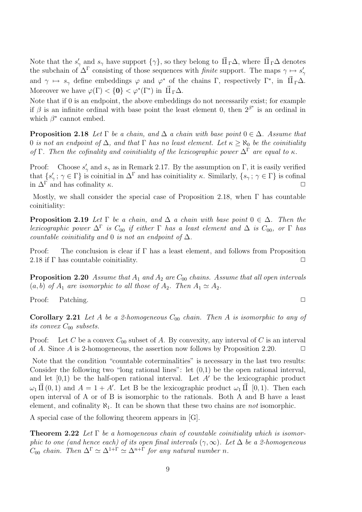Note that the  $s'_{\gamma}$  and  $s_{\gamma}$  have support  $\{\gamma\}$ , so they belong to  $\vec{\Pi}_{\Gamma}\Delta$ , where  $\vec{\Pi}_{\Gamma}\Delta$  denotes the subchain of  $\Delta^{\Gamma}$  consisting of those sequences with *finite* support. The maps  $\gamma \mapsto s'_{\gamma}$ and  $\gamma \mapsto s_\gamma$  define embeddings  $\varphi$  and  $\varphi^*$  of the chains  $\Gamma$ , respectively  $\Gamma^*$ , in  $\vec{\Pi}_{\Gamma} \Delta$ . Moreover we have  $\varphi(\Gamma) < \{0\} < \varphi^*(\Gamma^*)$  in  $\vec{\Pi}_{\Gamma} \Delta$ .

Note that if 0 is an endpoint, the above embeddings do not necessarily exist; for example if  $\beta$  is an infinite ordinal with base point the least element 0, then  $2^{\beta^*}$  is an ordinal in which  $\beta^*$  cannot embed.

**Proposition 2.18** Let  $\Gamma$  be a chain, and  $\Delta$  a chain with base point  $0 \in \Delta$ . Assume that 0 is not an endpoint of  $\Delta$ , and that  $\Gamma$  has no least element. Let  $\kappa > \aleph_0$  be the coinitiality of Γ. Then the cofinality and coinitiality of the lexicographic power  $\Delta^{\Gamma}$  are equal to  $\kappa$ .

Proof: Choose  $s'_{\gamma}$  and  $s_{\gamma}$  as in Remark 2.17. By the assumption on  $\Gamma$ , it is easily verified that  $\{s'_{\gamma}; \gamma \in \Gamma\}$  is coinitial in  $\Delta^{\Gamma}$  and has coinitiality  $\kappa$ . Similarly,  $\{s_{\gamma}; \gamma \in \Gamma\}$  is cofinal in  $\Delta^{\Gamma}$  and has cofinality  $\kappa$ .  $\Box$ 

Mostly, we shall consider the special case of Proposition 2.18, when  $\Gamma$  has countable coinitiality:

**Proposition 2.19** Let  $\Gamma$  be a chain, and  $\Delta$  a chain with base point  $0 \in \Delta$ . Then the lexicographic power  $\Delta^{\Gamma}$  is  $C_{00}$  if either  $\Gamma$  has a least element and  $\Delta$  is  $C_{00}$ , or  $\Gamma$  has countable coinitiality and 0 is not an endpoint of  $\Delta$ .

Proof: The conclusion is clear if  $\Gamma$  has a least element, and follows from Proposition 2.18 if  $\Gamma$  has countable coinitiality.  $\Box$ 

**Proposition 2.20** Assume that  $A_1$  and  $A_2$  are  $C_{00}$  chains. Assume that all open intervals  $(a, b)$  of  $A_1$  are isomorphic to all those of  $A_2$ . Then  $A_1 \simeq A_2$ .

Proof: Patching. □

**Corollary 2.21** Let A be a 2-homogeneous  $C_{00}$  chain. Then A is isomorphic to any of its convex  $C_{00}$  subsets.

Proof: Let C be a convex  $C_{00}$  subset of A. By convexity, any interval of C is an interval of A. Since A is 2-homogeneous, the assertion now follows by Proposition 2.20.  $\Box$ 

Note that the condition "countable coterminalities" is necessary in the last two results: Consider the following two "long rational lines": let  $(0,1)$  be the open rational interval, and let  $[0,1)$  be the half-open rational interval. Let A' be the lexicographic product  $\omega_1 \vec{\Pi}(0,1)$  and  $A = 1 + A'$ . Let B be the lexicographic product  $\omega_1 \vec{\Pi}$  [0, 1). Then each open interval of A or of B is isomorphic to the rationals. Both A and B have a least element, and cofinality  $\aleph_1$ . It can be shown that these two chains are *not* isomorphic.

A special case of the following theorem appears in [G].

**Theorem 2.22** Let  $\Gamma$  be a homogeneous chain of countable coinitiality which is isomorphic to one (and hence each) of its open final intervals  $(\gamma, \infty)$ . Let  $\Delta$  be a 2-homogeneous  $C_{00}$  chain. Then  $\Delta^{\Gamma} \simeq \Delta^{1+\Gamma} \simeq \Delta^{n+\Gamma}$  for any natural number n.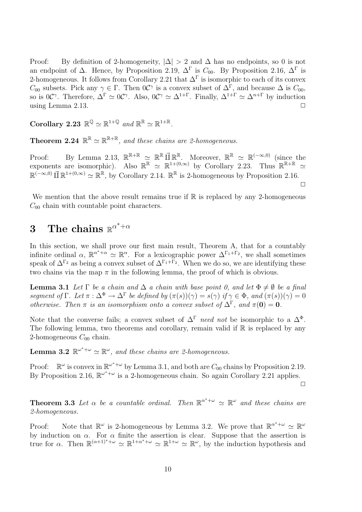Proof: By definition of 2-homogeneity,  $|\Delta| > 2$  and  $\Delta$  has no endpoints, so 0 is not an endpoint of  $\Delta$ . Hence, by Proposition 2.19,  $\Delta^{\Gamma}$  is  $C_{00}$ . By Proposition 2.16,  $\Delta^{\Gamma}$  is 2-homogeneous. It follows from Corollary 2.21 that  $\Delta^{\Gamma}$  is isomorphic to each of its convex  $C_{00}$  subsets. Pick any  $\gamma \in \Gamma$ . Then  $0\mathcal{C}^{\gamma}$  is a convex subset of  $\Delta^{\Gamma}$ , and because  $\Delta$  is  $C_{00}$ , so is 0C<sup> $\gamma$ </sup>. Therefore,  $\Delta^{\Gamma} \simeq 0$ C $\gamma$ . Also, 0C $\gamma \simeq \Delta^{1+\Gamma}$ . Finally,  $\Delta^{1+\Gamma} \simeq \Delta^{n+\Gamma}$  by induction using Lemma 2.13.  $\Box$ 

Corollary 2.23  $\mathbb{R}^{\mathbb{Q}} \simeq \mathbb{R}^{1+\mathbb{Q}}$  and  $\mathbb{R}^{\mathbb{R}} \simeq \mathbb{R}^{1+\mathbb{R}}$ .

**Theorem 2.24**  $\mathbb{R}^{\mathbb{R}} \simeq \mathbb{R}^{\mathbb{R} + \mathbb{R}}$ , and these chains are 2-homogeneous.

Proof: By Lemma 2.13,  $\mathbb{R}^{\mathbb{R}+\mathbb{R}} \simeq \mathbb{R}^{\mathbb{R}} \mathbb{\vec{H}} \mathbb{R}^{\mathbb{R}}$ . Moreover,  $\mathbb{R}^{\mathbb{R}} \simeq \mathbb{R}^{(-\infty,0)}$  (since the exponents are isomorphic). Also  $\mathbb{R}^{\mathbb{R}} \simeq \mathbb{R}^{1+(0,\infty)}$  by Corollary 2.23. Thus  $\mathbb{R}^{\mathbb{R}+\mathbb{R}} \simeq$  $\mathbb{R}^{(-\infty,0)}$   $\vec{\amalg} \mathbb{R}^{1+(0,\infty)} \simeq \mathbb{R}^{\mathbb{R}}$ , by Corollary 2.14.  $\mathbb{R}^{\mathbb{R}}$  is 2-homogeneous by Proposition 2.16.  $\Box$ 

We mention that the above result remains true if  $\mathbb R$  is replaced by any 2-homogeneous  $C_{00}$  chain with countable point characters.

# 3 The chains  $\mathbb{R}^{\alpha^*+\alpha}$

In this section, we shall prove our first main result, Theorem A, that for a countably infinite ordinal  $\alpha$ ,  $\mathbb{R}^{\alpha^*+\alpha} \simeq \mathbb{R}^{\alpha}$ . For a lexicographic power  $\Delta^{\Gamma_1+\Gamma_2}$ , we shall sometimes speak of  $\Delta^{\Gamma_2}$  as being a convex subset of  $\Delta^{\Gamma_1+\Gamma_2}$ . When we do so, we are identifying these two chains via the map  $\pi$  in the following lemma, the proof of which is obvious.

**Lemma 3.1** Let  $\Gamma$  be a chain and  $\Delta$  a chain with base point 0, and let  $\Phi \neq \emptyset$  be a final segment of  $\Gamma$ . Let  $\pi : \Delta^{\Phi} \to \Delta^{\Gamma}$  be defined by  $(\pi(s))(\gamma) = s(\gamma)$  if  $\gamma \in \Phi$ , and  $(\pi(s))(\gamma) = 0$ otherwise. Then  $\pi$  is an isomorphism onto a convex subset of  $\Delta^{\Gamma}$ , and  $\pi(\mathbf{0}) = \mathbf{0}$ .

Note that the converse fails; a convex subset of  $\Delta^{\Gamma}$  need not be isomorphic to a  $\Delta^{\Phi}$ . The following lemma, two theorems and corollary, remain valid if  $\mathbb R$  is replaced by any 2-homogeneous  $C_{00}$  chain.

**Lemma 3.2**  $\mathbb{R}^{\omega^*+\omega} \simeq \mathbb{R}^{\omega}$ , and these chains are 2-homogeneous.

Proof:  $\mathbb{R}^{\omega}$  is convex in  $\mathbb{R}^{\omega^*+\omega}$  by Lemma 3.1, and both are  $C_{00}$  chains by Proposition 2.19. By Proposition 2.16,  $\mathbb{R}^{\omega^*+\omega}$  is a 2-homogeneous chain. So again Corollary 2.21 applies.

 $\Box$ 

**Theorem 3.3** Let  $\alpha$  be a countable ordinal. Then  $\mathbb{R}^{\alpha^*+\omega} \simeq \mathbb{R}^{\omega}$  and these chains are 2-homogeneous.

Proof: Note that  $\mathbb{R}^{\omega}$  is 2-homogeneous by Lemma 3.2. We prove that  $\mathbb{R}^{\alpha^*+\omega} \simeq \mathbb{R}^{\omega}$ by induction on  $\alpha$ . For  $\alpha$  finite the assertion is clear. Suppose that the assertion is true for  $\alpha$ . Then  $\mathbb{R}^{(\alpha+1)^*+\omega} \simeq \mathbb{R}^{1+\alpha^*+\omega} \simeq \mathbb{R}^{1+\omega} \simeq \mathbb{R}^{\omega}$ , by the induction hypothesis and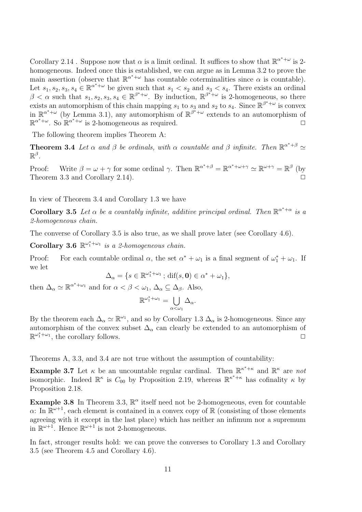Corollary 2.14. Suppose now that  $\alpha$  is a limit ordinal. It suffices to show that  $\mathbb{R}^{\alpha^*+\omega}$  is 2homogeneous. Indeed once this is established, we can argue as in Lemma 3.2 to prove the main assertion (observe that  $\mathbb{R}^{\alpha^*+\omega}$  has countable coterminalities since  $\alpha$  is countable). Let  $s_1, s_2, s_3, s_4 \in \mathbb{R}^{\alpha^*+\omega}$  be given such that  $s_1 < s_2$  and  $s_3 < s_4$ . There exists an ordinal  $\beta < \alpha$  such that  $s_1, s_2, s_3, s_4 \in \mathbb{R}^{\beta^*+\omega}$ . By induction,  $\mathbb{R}^{\beta^*+\omega}$  is 2-homogeneous, so there exists an automorphism of this chain mapping  $s_1$  to  $s_3$  and  $s_2$  to  $s_4$ . Since  $\mathbb{R}^{\beta^*+\omega}$  is convex in  $\mathbb{R}^{\alpha^*+\omega}$  (by Lemma 3.1), any automorphism of  $\mathbb{R}^{\beta^*+\omega}$  extends to an automorphism of  $\mathbb{R}^{\alpha^*+\omega}$ . So  $\mathbb{R}^{\alpha^*+\omega}$  is 2-homogeneous as required.

The following theorem implies Theorem A:

**Theorem 3.4** Let  $\alpha$  and  $\beta$  be ordinals, with  $\alpha$  countable and  $\beta$  infinite. Then  $\mathbb{R}^{\alpha^*+\beta} \simeq$  $\mathbb{R}^{\beta}$ .

Proof: Write  $\beta = \omega + \gamma$  for some ordinal  $\gamma$ . Then  $\mathbb{R}^{\alpha^*+\beta} = \mathbb{R}^{\alpha^*+\omega+\gamma} \simeq \mathbb{R}^{\omega+\gamma} = \mathbb{R}^\beta$  (by Theorem 3.3 and Corollary 2.14).

In view of Theorem 3.4 and Corollary 1.3 we have

**Corollary 3.5** Let  $\alpha$  be a countably infinite, additive principal ordinal. Then  $\mathbb{R}^{\alpha^*+\alpha}$  is a 2-homogeneous chain.

The converse of Corollary 3.5 is also true, as we shall prove later (see Corollary 4.6).

Corollary 3.6  $\mathbb{R}^{\omega_1^* + \omega_1}$  is a 2-homogeneous chain.

Proof: For each countable ordinal  $\alpha$ , the set  $\alpha^* + \omega_1$  is a final segment of  $\omega_1^* + \omega_1$ . If we let

$$
\Delta_{\alpha} = \{ s \in \mathbb{R}^{\omega_1^* + \omega_1} ; \, \text{dif}(s, \mathbf{0}) \in \alpha^* + \omega_1 \},
$$

then  $\Delta_{\alpha} \simeq \mathbb{R}^{\alpha^* + \omega_1}$  and for  $\alpha < \beta < \omega_1$ ,  $\Delta_{\alpha} \subseteq \Delta_{\beta}$ . Also,

$$
\mathbb{R}^{\omega_1^* + \omega_1} = \bigcup_{\alpha < \omega_1} \Delta_\alpha.
$$

By the theorem each  $\Delta_{\alpha} \simeq \mathbb{R}^{\omega_1}$ , and so by Corollary 1.3  $\Delta_{\alpha}$  is 2-homogeneous. Since any automorphism of the convex subset  $\Delta_{\alpha}$  can clearly be extended to an automorphism of  $\mathbb{R}^{\omega_1^* + \omega_1}$ , the corollary follows.

Theorems A, 3.3, and 3.4 are not true without the assumption of countability:

**Example 3.7** Let  $\kappa$  be an uncountable regular cardinal. Then  $\mathbb{R}^{\kappa^*+\kappa}$  and  $\mathbb{R}^{\kappa}$  are not isomorphic. Indeed  $\mathbb{R}^k$  is  $C_{00}$  by Proposition 2.19, whereas  $\mathbb{R}^{\kappa^*+\kappa}$  has cofinality  $\kappa$  by Proposition 2.18.

**Example 3.8** In Theorem 3.3,  $\mathbb{R}^{\alpha}$  itself need not be 2-homogeneous, even for countable  $\alpha$ : In  $\mathbb{R}^{\omega+1}$ , each element is contained in a convex copy of  $\mathbb R$  (consisting of those elements agreeing with it except in the last place) which has neither an infimum nor a supremum in  $\mathbb{R}^{\omega+1}$ . Hence  $\mathbb{R}^{\omega+1}$  is not 2-homogeneous.

In fact, stronger results hold: we can prove the converses to Corollary 1.3 and Corollary 3.5 (see Theorem 4.5 and Corollary 4.6).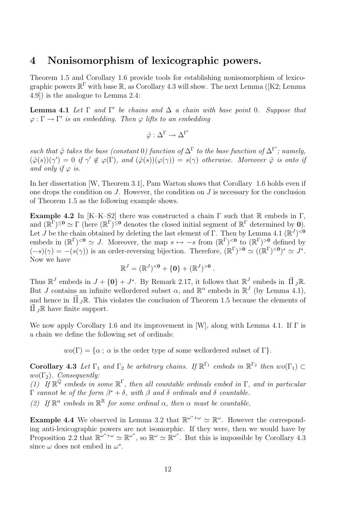## 4 Nonisomorphism of lexicographic powers.

Theorem 1.5 and Corollary 1.6 provide tools for establishing nonisomorphism of lexicographic powers  $\mathbb{R}^{\Gamma}$  with base  $\mathbb{R}$ , as Corollary 4.3 will show. The next Lemma ([K2; Lemma 4.9]) is the analogue to Lemma 2.4:

**Lemma 4.1** Let  $\Gamma$  and  $\Gamma'$  be chains and  $\Delta$  a chain with base point 0. Suppose that  $\varphi : \Gamma \to \Gamma'$  is an embedding. Then  $\varphi$  lifts to an embedding

$$
\hat{\varphi} : \Delta^{\Gamma} \to \Delta^{\Gamma'}
$$

such that  $\hat{\varphi}$  takes the base (constant 0) function of  $\Delta^{\Gamma}$  to the base function of  $\Delta^{\Gamma'}$ ; namely,  $(\hat{\varphi}(s))(\gamma') = 0$  if  $\gamma' \notin \varphi(\Gamma)$ , and  $(\hat{\varphi}(s))(\varphi(\gamma)) = s(\gamma)$  otherwise. Moreover  $\hat{\varphi}$  is onto if and only if  $\varphi$  is.

In her dissertation [W, Theorem 3.1], Pam Warton shows that Corollary 1.6 holds even if one drops the condition on  $J$ . However, the condition on  $J$  is necessary for the conclusion of Theorem 1.5 as the following example shows.

Example 4.2 In [K–K–S2] there was constructed a chain  $\Gamma$  such that  $\mathbb R$  embeds in  $\Gamma$ , and  $(\mathbb{R}^{\Gamma})^{\leq 0} \simeq \Gamma$  (here  $(\mathbb{R}^{\Gamma})^{\leq 0}$  denotes the closed initial segment of  $\mathbb{R}^{\Gamma}$  determined by **0**). Let *J* be the chain obtained by deleting the last element of Γ. Then by Lemma 4.1 ( $\mathbb{R}^{J}$ )<sup><0</sup> embeds in  $(\mathbb{R}^{\Gamma})^{<0} \simeq J$ . Moreover, the map  $s \mapsto -s$  from  $(\mathbb{R}^{\Gamma})^{<0}$  to  $(\mathbb{R}^{\Gamma})^{>0}$  defined by  $(-s)(\gamma) = -(s(\gamma))$  is an order-reversing bijection. Therefore,  $(\mathbb{R}^{\Gamma})^{>0} \simeq ((\mathbb{R}^{\Gamma})^{<0})^* \simeq J^*$ . Now we have

$$
\mathbb{R}^J = (\mathbb{R}^J)^{<0} + \{0\} + (\mathbb{R}^J)^{>0}.
$$

Thus  $\mathbb{R}^J$  embeds in  $J + \{0\} + J^*$ . By Remark 2.17, it follows that  $\mathbb{R}^J$  embeds in  $\vec{\Pi} J \mathbb{R}$ . But J contains an infinite wellordered subset  $\alpha$ , and  $\mathbb{R}^{\alpha}$  embeds in  $\mathbb{R}^{J}$  (by Lemma 4.1), and hence in  $\vec{II}_J\mathbb{R}$ . This violates the conclusion of Theorem 1.5 because the elements of  $\vec{II}$   $_J\mathbb{R}$  have finite support.

We now apply Corollary 1.6 and its improvement in [W], along with Lemma 4.1. If  $\Gamma$  is a chain we define the following set of ordinals:

 $wo(\Gamma) = \{\alpha : \alpha \text{ is the order type of some wellordered subset of } \Gamma \}.$ 

**Corollary 4.3** Let  $\Gamma_1$  and  $\Gamma_2$  be arbitrary chains. If  $\mathbb{R}^{\Gamma_1}$  embeds in  $\mathbb{R}^{\Gamma_2}$  then  $wo(\Gamma_1) \subset$  $wo(\Gamma_2)$ . Consequently:

(1) If  $\mathbb{R}^{\mathbb{Q}}$  embeds in some  $\mathbb{R}^{\Gamma}$ , then all countable ordinals embed in  $\Gamma$ , and in particular Γ cannot be of the form  $\beta^* + \delta$ , with  $\beta$  and  $\delta$  ordinals and  $\delta$  countable.

(2) If  $\mathbb{R}^{\alpha}$  embeds in  $\mathbb{R}^{\mathbb{R}}$  for some ordinal  $\alpha$ , then  $\alpha$  must be countable.

**Example 4.4** We observed in Lemma 3.2 that  $\mathbb{R}^{\omega^*+\omega} \simeq \mathbb{R}^{\omega}$ . However the corresponding anti-lexicographic powers are not isomorphic. If they were, then we would have by Proposition 2.2 that  $\mathbb{R}^{\omega^*+\omega} \simeq \mathbb{R}^{\omega^*}$ , so  $\mathbb{R}^\omega \simeq \mathbb{R}^{\omega^*}$ . But this is impossible by Corollary 4.3 since  $\omega$  does not embed in  $\omega^*$ .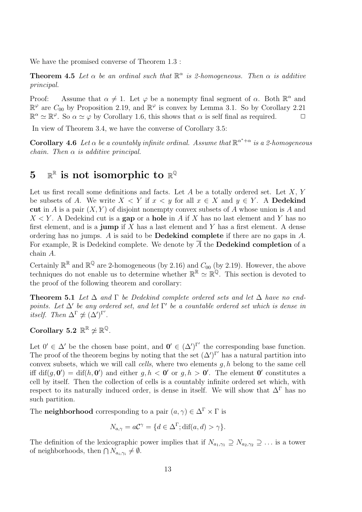We have the promised converse of Theorem 1.3 :

**Theorem 4.5** Let  $\alpha$  be an ordinal such that  $\mathbb{R}^{\alpha}$  is 2-homogeneous. Then  $\alpha$  is additive principal.

Proof: Assume that  $\alpha \neq 1$ . Let  $\varphi$  be a nonempty final segment of  $\alpha$ . Both  $\mathbb{R}^{\alpha}$  and  $\mathbb{R}^{\varphi}$  are  $C_{00}$  by Proposition 2.19, and  $\mathbb{R}^{\varphi}$  is convex by Lemma 3.1. So by Corollary 2.21  $\mathbb{R}^{\alpha} \simeq \mathbb{R}^{\varphi}$ . So  $\alpha \simeq \varphi$  by Corollary 1.6, this shows that  $\alpha$  is self final as required.  $\Box$ 

In view of Theorem 3.4, we have the converse of Corollary 3.5:

**Corollary 4.6** Let  $\alpha$  be a countably infinite ordinal. Assume that  $\mathbb{R}^{\alpha^*+\alpha}$  is a 2-homogeneous chain. Then  $\alpha$  is additive principal.

# $5\quad\mathbb{R}^{\mathbb{R}}$  is not isomorphic to  $\mathbb{R}^{\mathbb{Q}}$

Let us first recall some definitions and facts. Let  $A$  be a totally ordered set. Let  $X, Y$ be subsets of A. We write  $X \leq Y$  if  $x \leq y$  for all  $x \in X$  and  $y \in Y$ . A **Dedekind** cut in A is a pair  $(X, Y)$  of disjoint nonempty convex subsets of A whose union is A and  $X \leq Y$ . A Dedekind cut is a **gap** or a **hole** in A if X has no last element and Y has no first element, and is a **jump** if  $X$  has a last element and  $Y$  has a first element. A dense ordering has no jumps. A is said to be Dedekind complete if there are no gaps in A. For example, R is Dedekind complete. We denote by  $\overline{A}$  the **Dedekind completion** of a chain A.

Certainly  $\mathbb{R}^{\mathbb{R}}$  and  $\mathbb{R}^{\mathbb{Q}}$  are 2-homogeneous (by 2.16) and  $C_{00}$  (by 2.19). However, the above techniques do not enable us to determine whether  $\mathbb{R}^{\mathbb{R}} \simeq \mathbb{R}^{\mathbb{Q}}$ . This section is devoted to the proof of the following theorem and corollary:

**Theorem 5.1** Let  $\Delta$  and  $\Gamma$  be Dedekind complete ordered sets and let  $\Delta$  have no endpoints. Let  $\Delta'$  be any ordered set, and let  $\Gamma'$  be a countable ordered set which is dense in itself. Then  $\Delta^{\Gamma} \not\simeq (\Delta')^{\Gamma'}$ .

Corollary 5.2  $\mathbb{R}^{\mathbb{R}} \not\simeq \mathbb{R}^{\mathbb{Q}}$ .

Let  $0' \in \Delta'$  be the chosen base point, and  $0' \in (\Delta')^{\Gamma'}$  the corresponding base function. The proof of the theorem begins by noting that the set  $(\Delta')^{\Gamma'}$  has a natural partition into convex subsets, which we will call *cells*, where two elements  $q, h$  belong to the same cell iff  $\text{diff}(g, \mathbf{0}') = \text{diff}(h, \mathbf{0}')$  and either  $g, h < \mathbf{0}'$  or  $g, h > \mathbf{0}'$ . The element  $\mathbf{0}'$  constitutes a cell by itself. Then the collection of cells is a countably infinite ordered set which, with respect to its naturally induced order, is dense in itself. We will show that  $\Delta^{\Gamma}$  has no such partition.

The **neighborhood** corresponding to a pair  $(a, \gamma) \in \Delta^{\Gamma} \times \Gamma$  is

$$
N_{a,\gamma} = a\mathcal{C}^{\gamma} = \{d \in \Delta^{\Gamma}; \text{dif}(a, d) > \gamma\}.
$$

The definition of the lexicographic power implies that if  $N_{a_1,\gamma_1} \supseteq N_{a_2,\gamma_2} \supseteq \ldots$  is a tower of neighborhoods, then  $\bigcap N_{a_i,\gamma_i} \neq \emptyset$ .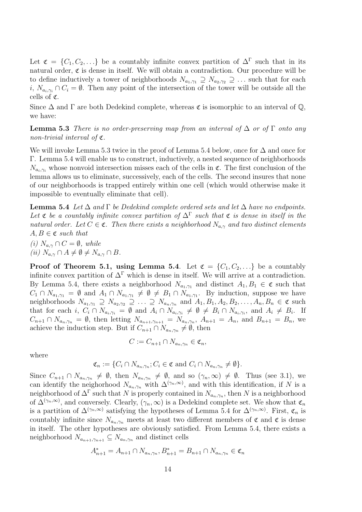Let  $\mathfrak{C} = \{C_1, C_2, \ldots\}$  be a countably infinite convex partition of  $\Delta^{\Gamma}$  such that in its natural order,  $\mathfrak c$  is dense in itself. We will obtain a contradiction. Our procedure will be to define inductively a tower of neighborhoods  $N_{a_1,\gamma_1} \supseteq N_{a_2,\gamma_2} \supseteq \ldots$  such that for each i,  $N_{a_i,\gamma_i} \cap C_i = \emptyset$ . Then any point of the intersection of the tower will be outside all the cells of C.

Since  $\Delta$  and  $\Gamma$  are both Dedekind complete, whereas  $\mathfrak c$  is isomorphic to an interval of  $\mathbb Q$ , we have:

**Lemma 5.3** There is no order-preserving map from an interval of  $\Delta$  or of  $\Gamma$  onto any non-trivial interval of C.

We will invoke Lemma 5.3 twice in the proof of Lemma 5.4 below, once for ∆ and once for Γ. Lemma 5.4 will enable us to construct, inductively, a nested sequence of neighborhoods  $N_{a_i,\gamma_i}$  whose nonvoid intersection misses each of the cells in  $\mathfrak{C}$ . The first conclusion of the lemma allows us to eliminate, successively, each of the cells. The second insures that none of our neighborhoods is trapped entirely within one cell (which would otherwise make it impossible to eventually eliminate that cell).

**Lemma 5.4** Let  $\Delta$  and  $\Gamma$  be Dedekind complete ordered sets and let  $\Delta$  have no endpoints. Let  $\mathfrak c$  be a countably infinite convex partition of  $\Delta^{\Gamma}$  such that  $\mathfrak c$  is dense in itself in the natural order. Let  $C \in \mathfrak{C}$ . Then there exists a neighborhood  $N_{a,\gamma}$  and two distinct elements  $A, B \in \mathfrak{C}$  such that

(i)  $N_{a,\gamma} \cap C = \emptyset$ , while (ii)  $N_{a,\gamma} \cap A \neq \emptyset \neq N_{a,\gamma} \cap B$ .

**Proof of Theorem 5.1, using Lemma 5.4.** Let  $\mathfrak{C} = \{C_1, C_2, \ldots\}$  be a countably infinite convex partition of  $\Delta^{\Gamma}$  which is dense in itself. We will arrive at a contradiction. By Lemma 5.4, there exists a neighborhood  $N_{a_1,\gamma_1}$  and distinct  $A_1, B_1 \in \mathfrak{C}$  such that  $C_1 \cap N_{a_1,\gamma_1} = \emptyset$  and  $A_1 \cap N_{a_1,\gamma_1} \neq \emptyset \neq B_1 \cap N_{a_1,\gamma_1}$ . By induction, suppose we have neighborhoods  $N_{a_1,\gamma_1} \supseteq N_{a_2,\gamma_2} \supseteq \ldots \supseteq N_{a_n,\gamma_n}$  and  $A_1, B_1, A_2, B_2, \ldots, A_n, B_n \in \mathfrak{C}$  such that for each i,  $C_i \cap N_{a_i,\gamma_i} = \emptyset$  and  $A_i \cap N_{a_i,\gamma_i} \neq \emptyset \neq B_i \cap N_{a_i,\gamma_i}$ , and  $A_i \neq B_i$ . If  $C_{n+1} \cap N_{a_n,\gamma_n} = \emptyset$ , then letting  $N_{a_{n+1},\gamma_{n+1}} = N_{a_n,\gamma_n}$ ,  $A_{n+1} = A_n$ , and  $B_{n+1} = B_n$ , we achieve the induction step. But if  $C_{n+1} \cap N_{a_n,\gamma_n} \neq \emptyset$ , then

$$
C := C_{n+1} \cap N_{a_n, \gamma_n} \in \mathfrak{C}_n,
$$

where

$$
\mathfrak{C}_n := \{ C_i \cap N_{a_n, \gamma_n}; C_i \in \mathfrak{C} \text{ and } C_i \cap N_{a_n, \gamma_n} \neq \emptyset \}.
$$

Since  $C_{n+1} \cap N_{a_n,\gamma_n} \neq \emptyset$ , then  $N_{a_n,\gamma_n} \neq \emptyset$ , and so  $(\gamma_n,\infty) \neq \emptyset$ . Thus (see 3.1), we can identify the neighorhood  $N_{a_n,\gamma_n}$  with  $\Delta^{(\gamma_n,\infty)}$ , and with this identification, if N is a neighborhood of  $\Delta^{\Gamma}$  such that N is properly contained in  $N_{a_n,\gamma_n}$ , then N is a neighborhood of  $\Delta^{(\gamma_n,\infty)}$ , and conversely. Clearly,  $(\gamma_n,\infty)$  is a Dedekind complete set. We show that  $\mathfrak{C}_n$ is a partition of  $\Delta^{(\gamma_n,\infty)}$  satisfying the hypotheses of Lemma 5.4 for  $\Delta^{(\gamma_n,\infty)}$ . First,  $\mathfrak{C}_n$  is countably infinite since  $N_{a_n,\gamma_n}$  meets at least two different members of  $\mathfrak c$  and  $\mathfrak c$  is dense in itself. The other hypotheses are obviously satisfied. From Lemma 5.4, there exists a neighborhood  $N_{a_{n+1},\gamma_{n+1}} \subseteq N_{a_n,\gamma_n}$  and distinct cells

$$
A_{n+1}^* = A_{n+1} \cap N_{a_n, \gamma_n}, B_{n+1}^* = B_{n+1} \cap N_{a_n, \gamma_n} \in \mathfrak{C}_n
$$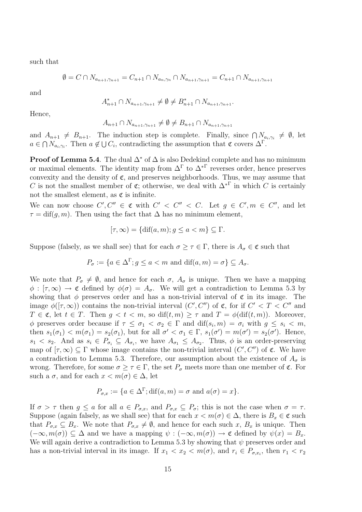such that

$$
\emptyset = C \cap N_{a_{n+1}, \gamma_{n+1}} = C_{n+1} \cap N_{a_n, \gamma_n} \cap N_{a_{n+1}, \gamma_{n+1}} = C_{n+1} \cap N_{a_{n+1}, \gamma_{n+1}}
$$

and

$$
A_{n+1}^* \cap N_{a_{n+1}, \gamma_{n+1}} \neq \emptyset \neq B_{n+1}^* \cap N_{a_{n+1}, \gamma_{n+1}}.
$$

Hence,

$$
A_{n+1} \cap N_{a_{n+1}, \gamma_{n+1}} \neq \emptyset \neq B_{n+1} \cap N_{a_{n+1}, \gamma_{n+1}}
$$

and  $A_{n+1} \neq B_{n+1}$ . The induction step is complete. Finally, since  $\bigcap_{n=0}^{\infty} N_{a_i,\gamma_i} \neq \emptyset$ , let  $a \in \bigcap N_{a_i,\gamma_i}$ . Then  $a \notin \bigcup C_i$ , contradicting the assumption that  $\mathfrak{C}$  covers  $\Delta^{\Gamma}$ .

**Proof of Lemma 5.4**. The dual  $\Delta^*$  of  $\Delta$  is also Dedekind complete and has no minimum or maximal elements. The identity map from  $\Delta^{\Gamma}$  to  $\Delta^{* \Gamma}$  reverses order, hence preserves convexity and the density of  $\mathfrak{C}$ , and preserves neighborhoods. Thus, we may assume that C is not the smallest member of  $\mathfrak{C}$ ; otherwise, we deal with  $\Delta^{* \Gamma}$  in which C is certainly not the smallest element, as  $\mathfrak c$  is infinite.

We can now choose  $C', C'' \in \mathfrak{C}$  with  $C' < C'' < C$ . Let  $g \in C', m \in C''$ , and let  $\tau = \text{diff}(q, m)$ . Then using the fact that  $\Delta$  has no minimum element,

$$
[\tau, \infty) = \{ \text{dif}(a, m); g \le a < m \} \subseteq \Gamma.
$$

Suppose (falsely, as we shall see) that for each  $\sigma \geq \tau \in \Gamma$ , there is  $A_{\sigma} \in \mathfrak{C}$  such that

$$
P_{\sigma} := \{ a \in \Delta^{\Gamma}; g \le a < m \text{ and } \text{dif}(a, m) = \sigma \} \subseteq A_{\sigma}.
$$

We note that  $P_{\sigma} \neq \emptyset$ , and hence for each  $\sigma$ ,  $A_{\sigma}$  is unique. Then we have a mapping  $\phi : [\tau, \infty) \to \mathfrak{C}$  defined by  $\phi(\sigma) = A_{\sigma}$ . We will get a contradiction to Lemma 5.3 by showing that  $\phi$  preserves order and has a non-trivial interval of  $\mathfrak c$  in its image. The image  $\phi([\tau,\infty))$  contains the non-trivial interval  $(C',C'')$  of  $\mathfrak{C}$ , for if  $C' < T < C''$  and  $T \in \mathfrak{C}$ , let  $t \in T$ . Then  $g < t < m$ , so  $\text{diff}(t,m) \geq \tau$  and  $T = \phi(\text{diff}(t,m))$ . Moreover,  $\phi$  preserves order because if  $\tau \leq \sigma_1 < \sigma_2 \in \Gamma$  and  $\text{diff}(s_i,m) = \sigma_i$  with  $g \leq s_i < m$ , then  $s_1(\sigma_1) < m(\sigma_1) = s_2(\sigma_1)$ , but for all  $\sigma' < \sigma_1 \in \Gamma$ ,  $s_1(\sigma') = m(\sigma') = s_2(\sigma')$ . Hence,  $s_1 < s_2$ . And as  $s_i \in P_{\sigma_i} \subseteq A_{\sigma_i}$ , we have  $A_{\sigma_1} \leq A_{\sigma_2}$ . Thus,  $\phi$  is an order-preserving map of  $[\tau, \infty) \subseteq \Gamma$  whose image contains the non-trivial interval  $(C', C'')$  of  $\mathfrak{C}$ . We have a contradiction to Lemma 5.3. Therefore, our assumption about the existence of  $A_{\sigma}$  is wrong. Therefore, for some  $\sigma \geq \tau \in \Gamma$ , the set  $P_{\sigma}$  meets more than one member of  $\mathfrak{C}$ . For such a  $\sigma$ , and for each  $x < m(\sigma) \in \Delta$ , let

$$
P_{\sigma,x} := \{ a \in \Delta^{\Gamma}; \text{dif}(a,m) = \sigma \text{ and } a(\sigma) = x \}.
$$

If  $\sigma > \tau$  then  $g \le a$  for all  $a \in P_{\sigma,x}$ , and  $P_{\sigma,x} \subseteq P_{\sigma}$ ; this is not the case when  $\sigma = \tau$ . Suppose (again falsely, as we shall see) that for each  $x < m(\sigma) \in \Delta$ , there is  $B_x \in \mathfrak{C}$  such that  $P_{\sigma,x} \subseteq B_x$ . We note that  $P_{\sigma,x} \neq \emptyset$ , and hence for each such x,  $B_x$  is unique. Then  $(-\infty, m(\sigma)) \subseteq \Delta$  and we have a mapping  $\psi : (-\infty, m(\sigma)) \to \mathfrak{C}$  defined by  $\psi(x) = B_x$ . We will again derive a contradiction to Lemma 5.3 by showing that  $\psi$  preserves order and has a non-trivial interval in its image. If  $x_1 < x_2 < m(\sigma)$ , and  $r_i \in P_{\sigma,x_i}$ , then  $r_1 < r_2$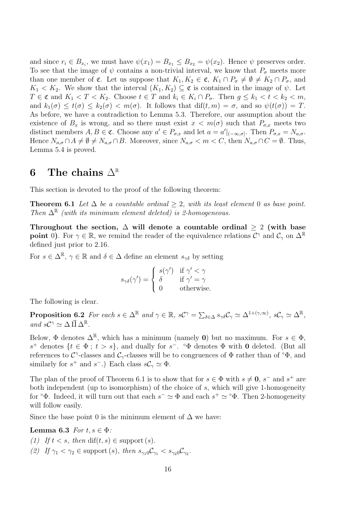and since  $r_i \in B_{x_i}$ , we must have  $\psi(x_1) = B_{x_1} \le B_{x_2} = \psi(x_2)$ . Hence  $\psi$  preserves order. To see that the image of  $\psi$  contains a non-trivial interval, we know that  $P_{\sigma}$  meets more than one member of  $\mathfrak{C}$ . Let us suppose that  $K_1, K_2 \in \mathfrak{C}$ ,  $K_1 \cap P_{\sigma} \neq \emptyset \neq K_2 \cap P_{\sigma}$ , and  $K_1 < K_2$ . We show that the interval  $(K_1, K_2) \subseteq \mathfrak{C}$  is contained in the image of  $\psi$ . Let  $T \in \mathfrak{C}$  and  $K_1 < T < K_2$ . Choose  $t \in T$  and  $k_i \in K_i \cap P_{\sigma}$ . Then  $g \leq k_1 < t < k_2 < m$ , and  $k_1(\sigma) \leq t(\sigma) \leq k_2(\sigma) < m(\sigma)$ . It follows that  $\text{diff}(t,m) = \sigma$ , and so  $\psi(t(\sigma)) = T$ . As before, we have a contradiction to Lemma 5.3. Therefore, our assumption about the existence of  $B_x$  is wrong, and so there must exist  $x < m(\sigma)$  such that  $P_{\sigma,x}$  meets two distinct members  $A, B \in \mathfrak{C}$ . Choose any  $a' \in P_{\sigma,x}$  and let  $a = a'|_{(-\infty,\sigma]}$ . Then  $P_{\sigma,x} = N_{a,\sigma}$ . Hence  $N_{a,\sigma} \cap A \neq \emptyset \neq N_{a,\sigma} \cap B$ . Moreover, since  $N_{a,\sigma} < m < C$ , then  $N_{a,\sigma} \cap C = \emptyset$ . Thus, Lemma 5.4 is proved.

## 6 The chains  $\Delta^{\mathbb{R}}$

This section is devoted to the proof of the following theorem:

**Theorem 6.1** Let  $\Delta$  be a countable ordinal > 2, with its least element 0 as base point. Then  $\Delta^{\mathbb{R}}$  (with its minimum element deleted) is 2-homogeneous.

Throughout the section,  $\Delta$  will denote a countable ordinal  $\geq 2$  (with base **point** 0). For  $\gamma \in \mathbb{R}$ , we remind the reader of the equivalence relations  $\mathcal{C}^{\gamma}$  and  $\mathcal{C}_{\gamma}$  on  $\Delta^{\mathbb{R}}$ defined just prior to 2.16.

For  $s \in \Delta^{\mathbb{R}}, \gamma \in \mathbb{R}$  and  $\delta \in \Delta$  define an element  $s_{\gamma\delta}$  by setting

$$
s_{\gamma\delta}(\gamma') = \begin{cases} s(\gamma') & \text{if } \gamma' < \gamma \\ \delta & \text{if } \gamma' = \gamma \\ 0 & \text{otherwise.} \end{cases}
$$

The following is clear.

**Proposition 6.2** For each  $s \in \Delta^{\mathbb{R}}$  and  $\gamma \in \mathbb{R}$ ,  $s\mathcal{C}^{\gamma} = \sum_{\delta \in \Delta} s_{\gamma\delta} \mathcal{C}_{\gamma} \simeq \Delta^{1+(\gamma,\infty)}$ ,  $s\mathcal{C}_{\gamma} \simeq \Delta^{\mathbb{R}}$ , and  $s\mathcal{C}^{\gamma} \simeq \Delta \vec{\amalg} \Delta^{\mathbb{R}}$ .

Below,  $\Phi$  denotes  $\Delta^{\mathbb{R}}$ , which has a minimum (namely 0) but no maximum. For  $s \in \Phi$ , s<sup>+</sup> denotes  $\{t \in \Phi; t > s\}$ , and dually for s<sup>-</sup>. ° $\Phi$  denotes  $\Phi$  with **0** deleted. (But all references to C<sup> $\gamma$ </sup>-classes and C<sub> $\gamma$ </sub>-classes will be to congruences of  $\Phi$  rather than of  $\circ \Phi$ , and similarly for  $s^+$  and  $s^-$ .) Each class  $sC_\gamma \simeq \Phi$ .

The plan of the proof of Theorem 6.1 is to show that for  $s \in \Phi$  with  $s \neq 0$ ,  $s^-$  and  $s^+$  are both independent (up to isomorphism) of the choice of s, which will give 1-homogeneity for  $\degree\Phi$ . Indeed, it will turn out that each  $s^- \simeq \Phi$  and each  $s^+ \simeq \degree\Phi$ . Then 2-homogeneity will follow easily.

Since the base point 0 is the minimum element of  $\Delta$  we have:

Lemma 6.3 For  $t, s \in \Phi$ :

(1) If  $t < s$ , then  $\text{diff}(t, s) \in \text{support}(s)$ . (2) If  $\gamma_1 < \gamma_2 \in \text{support}(s)$ , then  $s_{\gamma_1} \circ \mathcal{C}_{\gamma_1} < s_{\gamma_2} \circ \mathcal{C}_{\gamma_2}$ .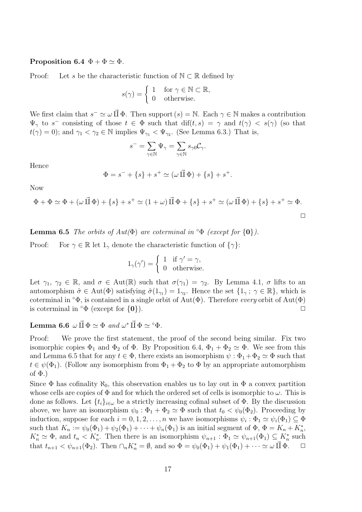#### Proposition 6.4  $\Phi + \Phi \simeq \Phi$ .

Proof: Let s be the characteristic function of  $\mathbb{N} \subset \mathbb{R}$  defined by

$$
s(\gamma) = \begin{cases} 1 & \text{for } \gamma \in \mathbb{N} \subset \mathbb{R}, \\ 0 & \text{otherwise.} \end{cases}
$$

We first claim that  $s^- \simeq \omega \vec{\Pi} \Phi$ . Then support  $(s) = \mathbb{N}$ . Each  $\gamma \in \mathbb{N}$  makes a contribution  $\Psi_{\gamma}$  to s<sup>-</sup> consisting of those  $t \in \Phi$  such that  $\text{diff}(t,s) = \gamma$  and  $t(\gamma) < s(\gamma)$  (so that  $t(\gamma) = 0$ ); and  $\gamma_1 < \gamma_2 \in \mathbb{N}$  implies  $\Psi_{\gamma_1} < \Psi_{\gamma_2}$ . (See Lemma 6.3.) That is,

$$
s^- = \sum_{\gamma \in \mathbb{N}} \Psi_{\gamma} = \sum_{\gamma \in \mathbb{N}} s_{\gamma 0} \mathcal{C}_{\gamma}.
$$

Hence

$$
\Phi = s^- + \{s\} + s^+ \simeq (\omega \, \vec{\amalg} \, \Phi) + \{s\} + s^+.
$$

Now

$$
\Phi + \Phi \simeq \Phi + (\omega \vec{\Pi} \Phi) + \{s\} + s^+ \simeq (1 + \omega) \vec{\Pi} \Phi + \{s\} + s^+ \simeq (\omega \vec{\Pi} \Phi) + \{s\} + s^+ \simeq \Phi.
$$

**Lemma 6.5** The orbits of  $Aut(\Phi)$  are coterminal in  $\Phi$  (except for  $\{0\}$ ).

Proof: For  $\gamma \in \mathbb{R}$  let  $1_{\gamma}$  denote the characteristic function of  $\{\gamma\}$ :

$$
1_{\gamma}(\gamma') = \begin{cases} 1 & \text{if } \gamma' = \gamma, \\ 0 & \text{otherwise.} \end{cases}
$$

Let  $\gamma_1, \gamma_2 \in \mathbb{R}$ , and  $\sigma \in Aut(\mathbb{R})$  such that  $\sigma(\gamma_1) = \gamma_2$ . By Lemma 4.1,  $\sigma$  lifts to an automorphism  $\hat{\sigma} \in Aut(\Phi)$  satisfying  $\hat{\sigma}(1_{\gamma_1}) = 1_{\gamma_2}$ . Hence the set  $\{1_{\gamma}; \gamma \in \mathbb{R}\}\$ , which is coterminal in  $\Phi$ , is contained in a single orbit of Aut( $\Phi$ ). Therefore *every* orbit of Aut( $\Phi$ ) is coterminal in  $\circ \Phi$  (except for  $\{0\}$ ).

### Lemma 6.6  $\omega \vec{\Pi} \Phi \simeq \Phi$  and  $\omega^* \vec{\Pi} \Phi \simeq {}^{\circ}\Phi$ .

Proof: We prove the first statement, the proof of the second being similar. Fix two isomorphic copies  $\Phi_1$  and  $\Phi_2$  of  $\Phi$ . By Proposition 6.4,  $\Phi_1 + \Phi_2 \simeq \Phi$ . We see from this and Lemma 6.5 that for any  $t \in \Phi$ , there exists an isomorphism  $\psi : \Phi_1 + \Phi_2 \simeq \Phi$  such that  $t \in \psi(\Phi_1)$ . (Follow any isomorphism from  $\Phi_1 + \Phi_2$  to  $\Phi$  by an appropriate automorphism of  $\Phi$ .)

Since  $\Phi$  has cofinality  $\aleph_0$ , this observation enables us to lay out in  $\Phi$  a convex partition whose cells are copies of  $\Phi$  and for which the ordered set of cells is isomorphic to  $\omega$ . This is done as follows. Let  $\{t_i\}_{i\in\omega}$  be a strictly increasing cofinal subset of  $\Phi$ . By the discussion above, we have an isomorphism  $\psi_0 : \Phi_1 + \Phi_2 \simeq \Phi$  such that  $t_0 < \psi_0(\Phi_2)$ . Proceeding by induction, suppose for each  $i = 0, 1, 2, ..., n$  we have isomorphisms  $\psi_i : \Phi_1 \simeq \psi_i(\Phi_1) \subseteq \Phi$ such that  $K_n := \psi_0(\Phi_1) + \psi_2(\Phi_1) + \cdots + \psi_n(\Phi_1)$  is an initial segment of  $\Phi$ ,  $\Phi = K_n + K_n^*$ ,  $K_n^* \simeq \Phi$ , and  $t_n < K_n^*$ . Then there is an isomorphism  $\psi_{n+1} : \Phi_1 \simeq \psi_{n+1}(\Phi_1) \subseteq K_n^*$  such that  $t_{n+1} < \psi_{n+1}(\Phi_2)$ . Then  $\cap_n K_n^* = \emptyset$ , and so  $\Phi = \psi_0(\Phi_1) + \psi_1(\Phi_1) + \cdots \simeq \omega \vec{\Pi} \Phi$ .  $\Box$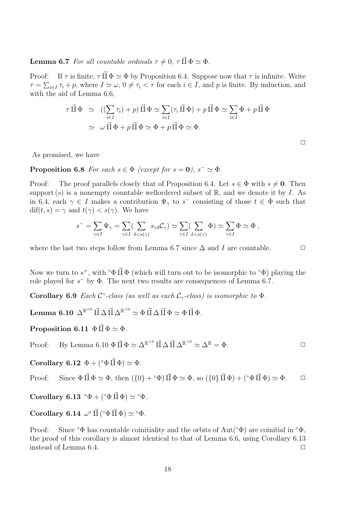**Lemma 6.7** For all countable ordinals  $\tau \neq 0$ ,  $\tau \vec{\Pi} \Phi \simeq \Phi$ .

Proof: If  $\tau$  is finite,  $\tau \vec{\Pi} \Phi \simeq \Phi$  by Proposition 6.4. Suppose now that  $\tau$  is infinite. Write  $\tau = \sum_{i \in I} \tau_i + p$ , where  $I \simeq \omega$ ,  $0 \neq \tau_i < \tau$  for each  $i \in I$ , and p is finite. By induction, and with the aid of Lemma 6.6,

$$
\begin{aligned}\n\tau \, \vec{\Pi} \, \Phi &\cong \, \left( (\sum_{i \in I} \tau_i) + p \right) \vec{\Pi} \, \Phi \simeq \sum_{i \in I} (\tau_i \, \vec{\Pi} \, \Phi) + p \, \vec{\Pi} \, \Phi \simeq \sum_{i \in I} \Phi + p \, \vec{\Pi} \, \Phi \\
&\cong \, \omega \, \vec{\Pi} \, \Phi + p \, \vec{\Pi} \, \Phi \simeq \Phi + p \, \vec{\Pi} \, \Phi \simeq \Phi.\n\end{aligned}
$$

As promised, we have

**Proposition 6.8** For each  $s \in \Phi$  (except for  $s = 0$ ),  $s^- \simeq \Phi$ .

Proof: The proof parallels closely that of Proposition 6.4. Let  $s \in \Phi$  with  $s \neq 0$ . Then support (s) is a nonempty countable wellordered subset of  $\mathbb{R}$ , and we denote it by I. As in 6.4, each  $\gamma \in I$  makes a contribution  $\Psi_{\gamma}$  to s<sup>-</sup> consisting of those  $t \in \Phi$  such that  $\text{diff}(t, s) = \gamma \text{ and } t(\gamma) < s(\gamma)$ . We have

$$
s^- = \sum_{\gamma \in I} \Psi_{\gamma} = \sum_{\gamma \in I} (\sum_{\delta < s(\gamma)} s_{\gamma \delta} C_{\gamma}) \simeq \sum_{\gamma \in I} (\sum_{\delta < s(\gamma)} \Phi) \simeq \sum_{\gamma \in I} \Phi \simeq \Phi ,
$$

where the last two steps follow from Lemma 6.7 since  $\Delta$  and I are countable.  $\Box$ 

Now we turn to  $s^+$ , with ° $\Phi \vec{\Pi} \Phi$  (which will turn out to be isomorphic to ° $\Phi$ ) playing the role played for  $s^-$  by  $\Phi$ . The next two results are consequences of Lemma 6.7.

Corollary 6.9 Each  $C^{\gamma}$ -class (as well as each  $C_{\gamma}$ -class) is isomorphic to  $\Phi$ .

 ${\rm Lemma~6.10~\Delta}^{\mathbb{R}^{< 0}}\,\vec\Pi\,\Delta\,\vec\Pi\,\Delta^{\mathbb{R}^{> 0}} \simeq \Phi\,\vec\Pi\,\Delta\,\vec\Pi\,\Phi \simeq \Phi\,\vec\Pi\,\Phi.$ 

Proposition 6.11  $\Phi \amalg \Phi \simeq \Phi$ .

Proof: By Lemma 6.10 
$$
\Phi \vec{\Pi} \Phi \simeq \Delta^{\mathbb{R}^{<0}} \vec{\Pi} \Delta \vec{\Pi} \Delta^{\mathbb{R}^{>0}} \simeq \Delta^{\mathbb{R}} = \Phi
$$
.

Corollary 6.12  $\Phi + (°\Phi \vec{\Pi} \Phi) \simeq \Phi$ .

Proof: Since 
$$
\Phi \vec{\Pi} \Phi \simeq \Phi
$$
, then  $(\{0\} + {}^{\circ}\Phi) \vec{\Pi} \Phi \simeq \Phi$ , so  $(\{0\} \vec{\Pi} \Phi) + ({}^{\circ}\Phi \vec{\Pi} \Phi) \simeq \Phi$ .  $\square$ 

Corollary 6.13 ° $\Phi + (°\Phi \vec{\Pi} \Phi) \simeq °\Phi$ .

Corollary 6.14  $\omega^* \vec{\Pi} (^\circ \Phi \vec{\Pi} \Phi) \simeq {}^{\circ} \Phi$ .

Proof: Since  $\Phi$  has countable coinitiality and the orbits of Aut( $\Phi$ ) are coinitial in  $\Phi$ , the proof of this corollary is almost identical to that of Lemma 6.6, using Corollary 6.13 instead of Lemma 6.4.  $\Box$ 

 $\Box$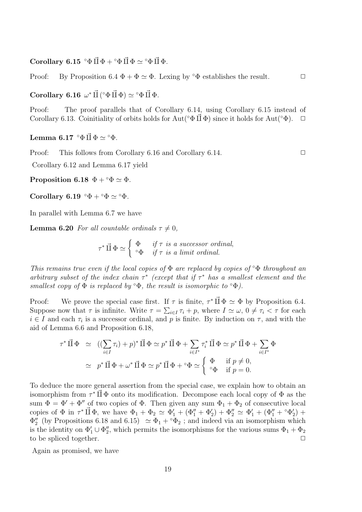Corollary 6.15 ° $\Phi \vec{H} \Phi + {}^{\circ}\Phi \vec{H} \Phi \simeq {}^{\circ}\Phi \vec{H} \Phi$ .

Proof: By Proposition 6.4  $\Phi + \Phi \simeq \Phi$ . Lexing by  $\circ \Phi$  establishes the result.  $\Box$ 

Corollary 6.16  $\omega^* \vec{\Pi}$  ( $\Phi \vec{\Pi} \Phi$ )  $\simeq \Phi \vec{\Pi} \Phi$ .

Proof: The proof parallels that of Corollary 6.14, using Corollary 6.15 instead of Corollary 6.13. Coinitiality of orbits holds for Aut( $\circ \Phi \vec{\Pi} \Phi$ ) since it holds for Aut( $\circ \Phi$ ).  $\Box$ 

Lemma 6.17  $\Phi \vec{H} \Phi \simeq \Phi \Phi$ .

Proof: This follows from Corollary 6.16 and Corollary 6.14. □

Corollary 6.12 and Lemma 6.17 yield

Proposition 6.18  $\Phi + \circ \Phi \simeq \Phi$ .

Corollary 6.19 ° $\Phi + {}^{\circ}\Phi \simeq {}^{\circ}\Phi$ .

In parallel with Lemma 6.7 we have

**Lemma 6.20** For all countable ordinals  $\tau \neq 0$ ,

 $\tau^* \vec{\amalg} \Phi \simeq$  $\overline{a}$  $\Phi$  if  $\tau$  is a successor ordinal,  ${}^{\circ}\Phi$  if  $\tau$  is a limit ordinal.

This remains true even if the local copies of  $\Phi$  are replaced by copies of  $\Phi$  throughout an arbitrary subset of the index chain  $\tau^*$  (except that if  $\tau^*$  has a smallest element and the smallest copy of  $\Phi$  is replaced by  $\Phi$ , the result is isomorphic to  $\Phi$ ).

Proof: We prove the special case first. If  $\tau$  is finite,  $\tau^* \vec{\Pi} \Phi \simeq \Phi$  by Proposition 6.4. Suppose now that  $\tau$  is infinite. Write  $\tau = \sum_{i \in I} \tau_i + p$ , where  $I \simeq \omega$ ,  $0 \neq \tau_i < \tau$  for each  $i \in I$  and each  $\tau_i$  is a successor ordinal, and p is finite. By induction on  $\tau$ , and with the aid of Lemma 6.6 and Proposition 6.18,

$$
\tau^* \vec{\Pi} \Phi \simeq ((\sum_{i \in I} \tau_i) + p)^* \vec{\Pi} \Phi \simeq p^* \vec{\Pi} \Phi + \sum_{i \in I^*} \tau_i^* \vec{\Pi} \Phi \simeq p^* \vec{\Pi} \Phi + \sum_{i \in I^*} \Phi
$$
  
\n
$$
\simeq p^* \vec{\Pi} \Phi + \omega^* \vec{\Pi} \Phi \simeq p^* \vec{\Pi} \Phi + {}^{\circ}\Phi \simeq \begin{cases} \Phi & \text{if } p \neq 0, \\ {}^{\circ}\Phi & \text{if } p = 0. \end{cases}
$$

To deduce the more general assertion from the special case, we explain how to obtain an isomorphism from  $\tau^* \vec{\Pi} \Phi$  onto its modification. Decompose each local copy of  $\Phi$  as the sum  $\Phi = \Phi' + \Phi''$  of two copies of  $\Phi$ . Then given any sum  $\Phi_1 + \Phi_2$  of consecutive local copies of  $\Phi$  in  $\tau^* \vec{\Pi} \Phi$ , we have  $\Phi_1 + \Phi_2 \simeq \Phi'_1 + (\Phi''_1 + \Phi'_2) + \Phi''_2 \simeq \Phi'_1 + (\Phi''_1 + \Phi'_2) + \Phi''_3$  $\Phi_2''$  (by Propositions 6.18 and 6.15)  $\simeq \Phi_1 + \circ \Phi_2$ ; and indeed via an isomorphism which is the identity on  $\Phi'_1 \cup \Phi''_2$ , which permits the isomorphisms for the various sums  $\Phi_1 + \Phi_2$ to be spliced together.

Again as promised, we have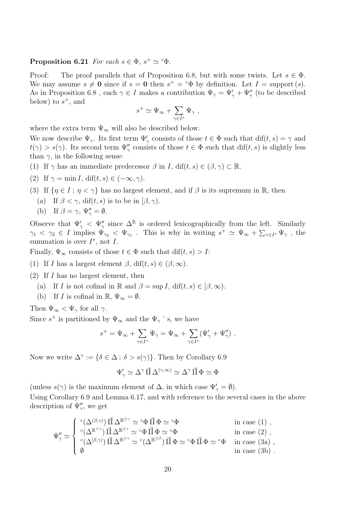#### Proposition 6.21 For each  $s \in \Phi$ ,  $s^+ \simeq {}^{\circ}\Phi$ .

Proof: The proof parallels that of Proposition 6.8, but with some twists. Let  $s \in \Phi$ . We may assume  $s \neq 0$  since if  $s = 0$  then  $s^+ = \circ \Phi$  by definition. Let  $I = \text{support}(s)$ . As in Proposition 6.8, each  $\gamma \in I$  makes a contribution  $\Psi_{\gamma} = \Psi_{\gamma}' + \Psi_{\gamma}''$  (to be described below) to  $s^+$ , and  $\overline{a}$ 

$$
s^+\simeq \Psi_\infty+\sum_{\gamma\in I^*}\Psi_\gamma\ ,
$$

where the extra term  $\Psi_{\infty}$  will also be described below.

We now describe  $\Psi_{\gamma}$ . Its first term  $\Psi'_{\gamma}$  consists of those  $t \in \Phi$  such that  $\text{dif}(t, s) = \gamma$  and  $t(\gamma) > s(\gamma)$ . Its second term  $\Psi''_{\gamma}$  consists of those  $t \in \Phi$  such that dif(t, s) is slightly less than  $\gamma$ , in the following sense:

(1) If  $\gamma$  has an immediate predecessor  $\beta$  in I, dif(t, s)  $\in (\beta, \gamma) \subset \mathbb{R}$ .

(2) If 
$$
\gamma = \min I
$$
,  $\text{diff}(t, s) \in (-\infty, \gamma)$ .

- (3) If  $\{\eta \in I : \eta < \gamma\}$  has no largest element, and if  $\beta$  is its supremum in R, then
	- (a) If  $\beta < \gamma$ , dif(t, s) is to be in  $(\beta, \gamma)$ .
	- (b) If  $\beta = \gamma$ ,  $\Psi''_{\gamma} = \emptyset$ .

Observe that  $\Psi'_{\gamma} \leq \Psi''_{\gamma}$  since  $\Delta^{\mathbb{R}}$  is ordered lexicographically from the left. Similarly  $\gamma_1 < \gamma_2 \in I$  implies  $\Psi_{\gamma_2} < \Psi_{\gamma_1}$ . This is why in writing  $s^+ \simeq \Psi_{\infty} + \sum_{\gamma \in I^*} \Psi_{\gamma}$ , the summation is over  $I^*$ , not  $I$ .

Finally,  $\Psi_{\infty}$  consists of those  $t \in \Phi$  such that  $\text{diff}(t, s) > I$ :

- (1) If I has a largest element  $\beta$ , dif $(t, s) \in (\beta, \infty)$ .
- $(2)$  If I has no largest element, then
	- (a) If I is not cofinal in R and  $\beta = \sup I$ , dif $(t, s) \in [\beta, \infty)$ .
	- (b) If I is cofinal in  $\mathbb{R}, \Psi_{\infty} = \emptyset$ .

Then  $\Psi_{\infty} < \Psi_{\gamma}$  for all  $\gamma$ .

Since  $s^+$  is partitioned by  $\Psi_{\infty}$  and the  $\Psi_{\gamma}$  's, we have

$$
s^+ = \Psi_\infty + \sum_{\gamma \in I^*} \Psi_\gamma = \Psi_\infty + \sum_{\gamma \in I^*} (\Psi_\gamma' + \Psi_\gamma'') .
$$

Now we write  $\Delta^{\gamma} := \{ \delta \in \Delta \, ; \, \delta > s(\gamma) \}.$  Then by Corollary 6.9

$$
\Psi'_{\gamma} \simeq \Delta^{\gamma} \, \vec{\amalg} \, \Delta^{(\gamma, \infty)} \simeq \Delta^{\gamma} \, \vec{\amalg} \, \Phi \simeq \Phi
$$

(unless  $s(\gamma)$  is the maximum element of  $\Delta$ , in which case  $\Psi'_{\gamma} = \emptyset$ ). Using Corollary 6.9 and Lemma 6.17, and with reference to the several cases in the above description of  $\Psi_{\gamma}^{\prime\prime}$ , we get

$$
\Psi''_{\gamma} \simeq \begin{cases} \ ^{\circ}(\Delta^{(\beta, \gamma)}) \ \vec{\amalg} \ \Delta^{\mathbb{R}^{\geq \gamma}} \simeq {}^{\circ}\Phi \ \vec{\amalg} \ \Phi \simeq {}^{\circ}\Phi \qquad \qquad \text{in case (1) }, \\ \ ^{\circ}(\Delta^{\mathbb{R}^{< \gamma}}) \ \vec{\amalg} \ \Delta^{\mathbb{R}^{\geq \gamma}} \simeq {}^{\circ}\Phi \ \vec{\amalg} \ \Phi \simeq {}^{\circ}\Phi \qquad \qquad \text{in case (2) }, \\ \ ^{\circ}(\Delta^{[\beta, \gamma)}) \ \vec{\amalg} \ \Delta^{\mathbb{R}^{\geq \gamma}} \simeq {}^{\circ}(\Delta^{\mathbb{R}^{\geq \beta}}) \ \vec{\amalg} \ \Phi \simeq {}^{\circ}\Phi \ \vec{\amalg} \ \Phi \simeq {}^{\circ}\Phi \qquad \text{in case (3a) }, \\ \emptyset \qquad \qquad \text{in case (3b) } . \end{cases}
$$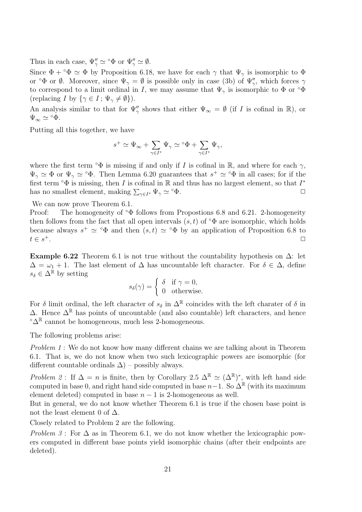Thus in each case,  $\Psi''_{\gamma} \simeq \Phi$  or  $\Psi''_{\gamma} \simeq \emptyset$ .

Since  $\Phi + {}^{\circ}\Phi \simeq \Phi$  by Proposition 6.18, we have for each  $\gamma$  that  $\Psi_{\gamma}$  is isomorphic to  $\Phi$ or  $\Phi$  or  $\emptyset$ . Moreover, since  $\Psi_{\gamma} = \emptyset$  is possible only in case (3b) of  $\Psi''_{\gamma}$ , which forces  $\gamma$ to correspond to a limit ordinal in I, we may assume that  $\Psi_{\gamma}$  is isomorphic to  $\Phi$  or  $\circ \Phi$ (replacing I by  $\{\gamma \in I : \Psi_{\gamma} \neq \emptyset\}$ ).

An analysis similar to that for  $\Psi''_{\gamma}$  shows that either  $\Psi_{\infty} = \emptyset$  (if I is cofinal in R), or  $\Psi_{\infty} \simeq {}^{\circ} \Phi$ .

Putting all this together, we have

$$
s^+\simeq \Psi_\infty+\sum_{\gamma\in I^*}\Psi_\gamma\simeq {}^{\rm o}\Phi+\sum_{\gamma\in I^*}\Psi_\gamma,
$$

where the first term  $\circ \Phi$  is missing if and only if I is cofinal in R, and where for each  $\gamma$ ,  $\Psi_{\gamma} \simeq \Phi$  or  $\Psi_{\gamma} \simeq {}^{\circ}\Phi$ . Then Lemma 6.20 guarantees that  $s^+ \simeq {}^{\circ}\Phi$  in all cases; for if the first term  $\circ \Phi$  is missing, then I is cofinal in R and thus has no largest element, so that  $I^*$ has no smallest element, making  $\sum_{\gamma \in I^*} \Psi_{\gamma} \simeq {}^{\circ} \Phi$ .

We can now prove Theorem 6.1.

Proof: The homogeneity of  $\Phi$  follows from Propostions 6.8 and 6.21. 2-homogeneity then follows from the fact that all open intervals  $(s, t)$  of  $\circ \Phi$  are isomorphic, which holds because always  $s^+ \simeq \text{°}\Phi$  and then  $(s, t) \simeq \text{°}\Phi$  by an application of Proposition 6.8 to  $t \in s^+$ .  $^+$ .  $\hfill \Box$ 

Example 6.22 Theorem 6.1 is not true without the countability hypothesis on  $\Delta$ : let  $\Delta = \omega_1 + 1$ . The last element of  $\Delta$  has uncountable left character. For  $\delta \in \Delta$ , define  $s_\delta \in \Delta^{\mathbb{R}}$  by setting

$$
s_{\delta}(\gamma) = \begin{cases} \delta & \text{if } \gamma = 0, \\ 0 & \text{otherwise.} \end{cases}
$$

For  $\delta$  limit ordinal, the left character of  $s_{\delta}$  in  $\Delta^{\mathbb{R}}$  coincides with the left charater of  $\delta$  in  $\Delta$ . Hence  $\Delta^{\mathbb{R}}$  has points of uncountable (and also countable) left characters, and hence ° $\Delta$ <sup>R</sup> cannot be homogeneous, much less 2-homogeneous.

The following problems arise:

Problem 1: We do not know how many different chains we are talking about in Theorem 6.1. That is, we do not know when two such lexicographic powers are isomorphic (for different countable ordinals  $\Delta$ ) – possibly always.

Problem 2: If  $\Delta = n$  is finite, then by Corollary 2.5  $\Delta^{\mathbb{R}} \simeq (\Delta^{\mathbb{R}})^*$ , with left hand side computed in base 0, and right hand side computed in base  $n-1$ . So  $\Delta^{\mathbb{R}}$  (with its maximum element deleted) computed in base  $n-1$  is 2-homogeneous as well.

But in general, we do not know whether Theorem 6.1 is true if the chosen base point is not the least element 0 of  $\Delta$ .

Closely related to Problem 2 are the following.

Problem 3: For  $\Delta$  as in Theorem 6.1, we do not know whether the lexicographic powers computed in different base points yield isomorphic chains (after their endpoints are deleted).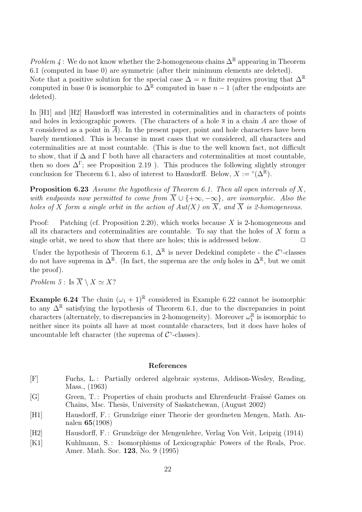*Problem 4* : We do not know whether the 2-homogeneous chains  $\Delta^{\mathbb{R}}$  appearing in Theorem 6.1 (computed in base 0) are symmetric (after their minimum elements are deleted).

Note that a positive solution for the special case  $\Delta = n$  finite requires proving that  $\Delta^{\mathbb{R}}$ computed in base 0 is isomorphic to  $\Delta^{\mathbb{R}}$  computed in base  $n-1$  (after the endpoints are deleted).

In [H1] and [H2] Hausdorff was interested in coterminalities and in characters of points and holes in lexicographic powers. (The characters of a hole  $\bar{s}$  in a chain A are those of  $\overline{s}$  considered as a point in  $\overline{A}$ ). In the present paper, point and hole characters have been barely mentioned. This is because in most cases that we considered, all characters and coterminalities are at most countable. (This is due to the well known fact, not difficult to show, that if  $\Delta$  and  $\Gamma$  both have all characters and coterminalities at most countable, then so does  $\Delta^{\Gamma}$ ; see Proposition 2.19). This produces the following slightly stronger conclusion for Theorem 6.1, also of interest to Hausdorff. Below,  $X := \circ(\Delta^{\mathbb{R}})$ .

**Proposition 6.23** Assume the hypothesis of Theorem 6.1. Then all open intervals of X, with endpoints now permitted to come from  $\overline{X} \cup \{+\infty, -\infty\}$ , are isomorphic. Also the holes of X form a single orbit in the action of  $Aut(X)$  on  $\overline{X}$ , and  $\overline{X}$  is 2-homogeneous.

Proof: Patching (cf. Proposition 2.20), which works because X is 2-homogeneous and all its characters and coterminalities are countable. To say that the holes of  $X$  form a single orbit, we need to show that there are holes; this is addressed below.  $\Box$ 

Under the hypothesis of Theorem 6.1,  $\Delta^{\mathbb{R}}$  is never Dedekind complete - the  $\mathcal{C}^{\gamma}$ -classes do not have suprema in  $\Delta^{\mathbb{R}}$ . (In fact, the suprema are the *only* holes in  $\Delta^{\mathbb{R}}$ , but we omit the proof).

Problem 5 : Is  $\overline{X} \setminus X \simeq X?$ 

**Example 6.24** The chain  $(\omega_1 + 1)^{\mathbb{R}}$  considered in Example 6.22 cannot be isomorphic to any  $\Delta^{\mathbb{R}}$  satisfying the hypothesis of Theorem 6.1, due to the discrepancies in point characters (alternately, to discrepancies in 2-homogeneity). Moreover  $\omega_1^{\mathbb{R}}$  is isomorphic to neither since its points all have at most countable characters, but it does have holes of uncountable left character (the suprema of  $C^{\gamma}$ -classes).

#### References

- [F] Fuchs, L.: Partially ordered algebraic systems, Addison-Wesley, Reading, Mass., (1963)
- [G] Green, T.: Properties of chain products and Ehrenfeucht–Fraüssé Games on Chains, Msc. Thesis, University of Saskatchewan, (August 2002)
- [H1] Hausdorff, F.: Grundzüge einer Theorie der geordneten Mengen, Math. Annalen 65(1908)
- [H2] Hausdorff, F.: Grundzüge der Mengenlehre, Verlag Von Veit, Leipzig (1914)
- [K1] Kuhlmann, S.: Isomorphisms of Lexicographic Powers of the Reals, Proc. Amer. Math. Soc. 123, No. 9 (1995)